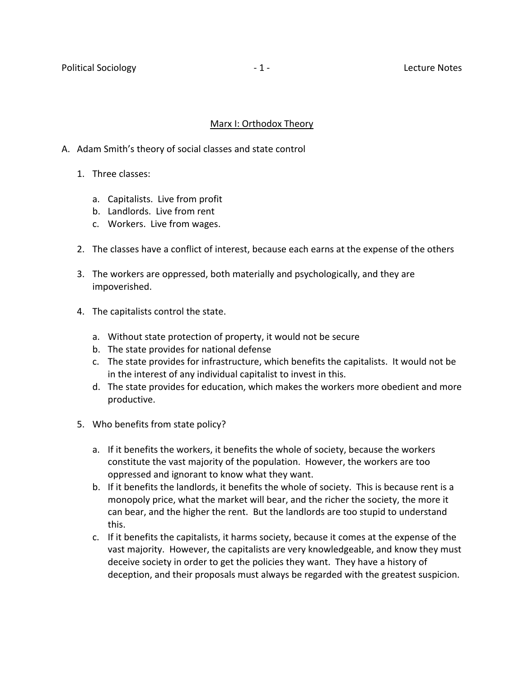### Marx I: Orthodox Theory

- A. Adam Smith's theory of social classes and state control
	- 1. Three classes:
		- a. Capitalists. Live from profit
		- b. Landlords. Live from rent
		- c. Workers. Live from wages.
	- 2. The classes have a conflict of interest, because each earns at the expense of the others
	- 3. The workers are oppressed, both materially and psychologically, and they are impoverished.
	- 4. The capitalists control the state.
		- a. Without state protection of property, it would not be secure
		- b. The state provides for national defense
		- c. The state provides for infrastructure, which benefits the capitalists. It would not be in the interest of any individual capitalist to invest in this.
		- d. The state provides for education, which makes the workers more obedient and more productive.
	- 5. Who benefits from state policy?
		- a. If it benefits the workers, it benefits the whole of society, because the workers constitute the vast majority of the population. However, the workers are too oppressed and ignorant to know what they want.
		- b. If it benefits the landlords, it benefits the whole of society. This is because rent is a monopoly price, what the market will bear, and the richer the society, the more it can bear, and the higher the rent. But the landlords are too stupid to understand this.
		- c. If it benefits the capitalists, it harms society, because it comes at the expense of the vast majority. However, the capitalists are very knowledgeable, and know they must deceive society in order to get the policies they want. They have a history of deception, and their proposals must always be regarded with the greatest suspicion.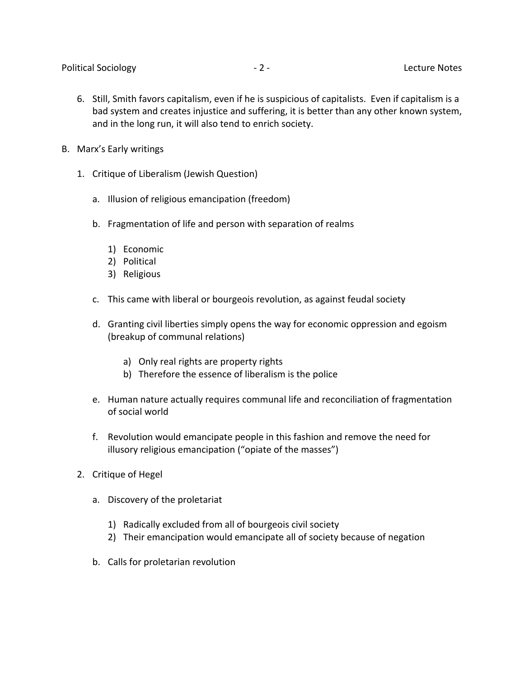- 6. Still, Smith favors capitalism, even if he is suspicious of capitalists. Even if capitalism is a bad system and creates injustice and suffering, it is better than any other known system, and in the long run, it will also tend to enrich society.
- B. Marx's Early writings
	- 1. Critique of Liberalism (Jewish Question)
		- a. Illusion of religious emancipation (freedom)
		- b. Fragmentation of life and person with separation of realms
			- 1) Economic
			- 2) Political
			- 3) Religious
		- c. This came with liberal or bourgeois revolution, as against feudal society
		- d. Granting civil liberties simply opens the way for economic oppression and egoism (breakup of communal relations)
			- a) Only real rights are property rights
			- b) Therefore the essence of liberalism is the police
		- e. Human nature actually requires communal life and reconciliation of fragmentation of social world
		- f. Revolution would emancipate people in this fashion and remove the need for illusory religious emancipation ("opiate of the masses")
	- 2. Critique of Hegel
		- a. Discovery of the proletariat
			- 1) Radically excluded from all of bourgeois civil society
			- 2) Their emancipation would emancipate all of society because of negation
		- b. Calls for proletarian revolution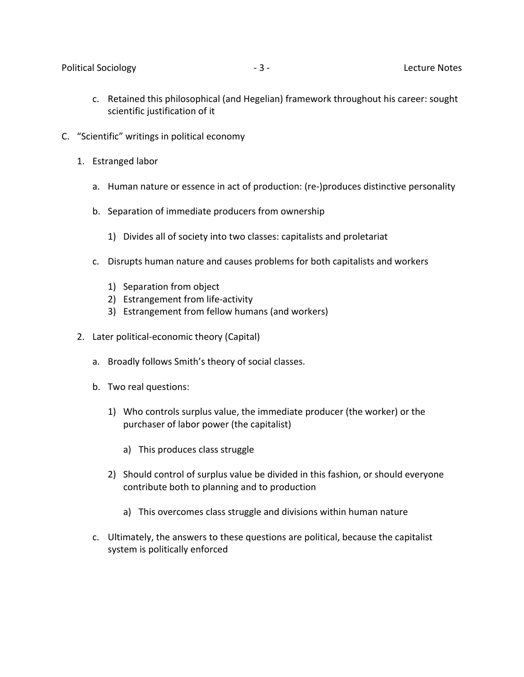- c. Retained this philosophical (and Hegelian) framework throughout his career: sought scientific justification of it
- C. "Scientific" writings in political economy
	- 1. Estranged labor
		- a. Human nature or essence in act of production: (re-)produces distinctive personality
		- b. Separation of immediate producers from ownership
			- 1) Divides all of society into two classes: capitalists and proletariat
		- c. Disrupts human nature and causes problems for both capitalists and workers
			- 1) Separation from object
			- 2) Estrangement from life-activity
			- 3) Estrangement from fellow humans (and workers)
	- 2. Later political-economic theory (Capital)
		- a. Broadly follows Smith's theory of social classes.
		- b. Two real questions:
			- 1) Who controls surplus value, the immediate producer (the worker) or the purchaser of labor power (the capitalist)
				- a) This produces class struggle
			- 2) Should control of surplus value be divided in this fashion, or should everyone contribute both to planning and to production
				- a) This overcomes class struggle and divisions within human nature
		- c. Ultimately, the answers to these questions are political, because the capitalist system is politically enforced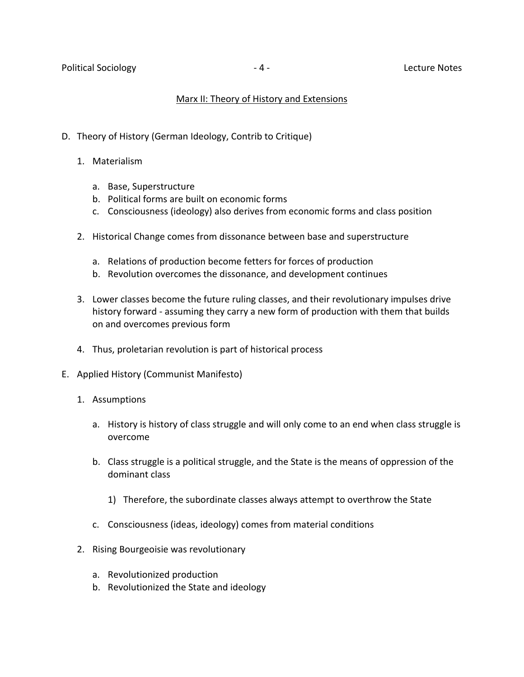# Marx II: Theory of History and Extensions

- D. Theory of History (German Ideology, Contrib to Critique)
	- 1. Materialism
		- a. Base, Superstructure
		- b. Political forms are built on economic forms
		- c. Consciousness (ideology) also derives from economic forms and class position
	- 2. Historical Change comes from dissonance between base and superstructure
		- a. Relations of production become fetters for forces of production
		- b. Revolution overcomes the dissonance, and development continues
	- 3. Lower classes become the future ruling classes, and their revolutionary impulses drive history forward - assuming they carry a new form of production with them that builds on and overcomes previous form
	- 4. Thus, proletarian revolution is part of historical process
- E. Applied History (Communist Manifesto)
	- 1. Assumptions
		- a. History is history of class struggle and will only come to an end when class struggle is overcome
		- b. Class struggle is a political struggle, and the State is the means of oppression of the dominant class
			- 1) Therefore, the subordinate classes always attempt to overthrow the State
		- c. Consciousness (ideas, ideology) comes from material conditions
	- 2. Rising Bourgeoisie was revolutionary
		- a. Revolutionized production
		- b. Revolutionized the State and ideology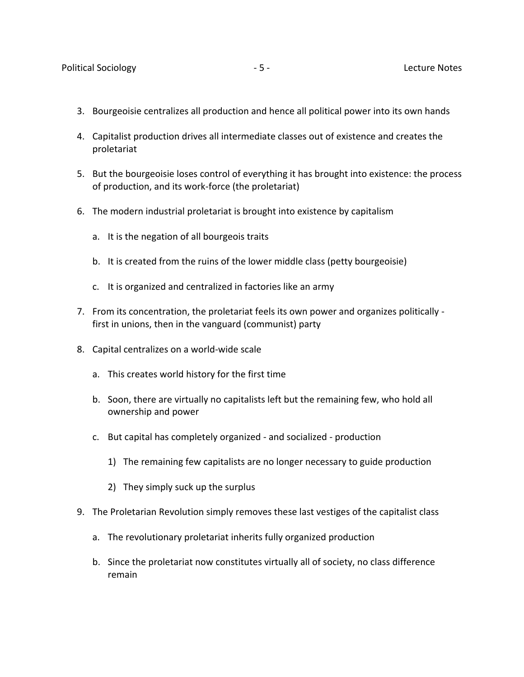- 3. Bourgeoisie centralizes all production and hence all political power into its own hands
- 4. Capitalist production drives all intermediate classes out of existence and creates the proletariat
- 5. But the bourgeoisie loses control of everything it has brought into existence: the process of production, and its work-force (the proletariat)
- 6. The modern industrial proletariat is brought into existence by capitalism
	- a. It is the negation of all bourgeois traits
	- b. It is created from the ruins of the lower middle class (petty bourgeoisie)
	- c. It is organized and centralized in factories like an army
- 7. From its concentration, the proletariat feels its own power and organizes politically first in unions, then in the vanguard (communist) party
- 8. Capital centralizes on a world-wide scale
	- a. This creates world history for the first time
	- b. Soon, there are virtually no capitalists left but the remaining few, who hold all ownership and power
	- c. But capital has completely organized and socialized production
		- 1) The remaining few capitalists are no longer necessary to guide production
		- 2) They simply suck up the surplus
- 9. The Proletarian Revolution simply removes these last vestiges of the capitalist class
	- a. The revolutionary proletariat inherits fully organized production
	- b. Since the proletariat now constitutes virtually all of society, no class difference remain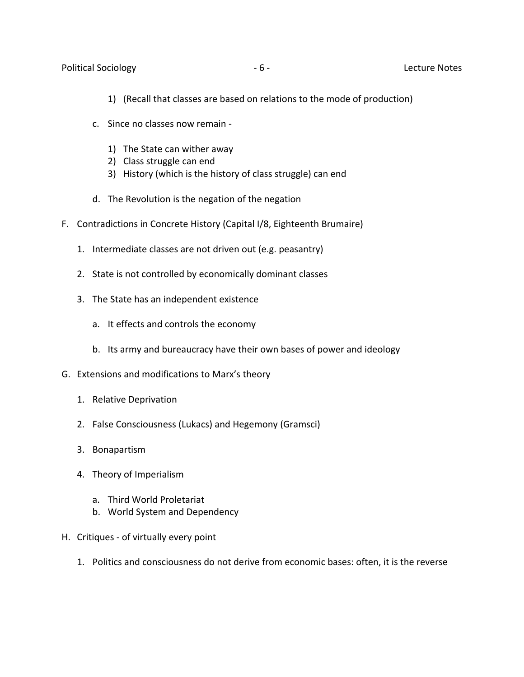#### Political Sociology **Contract Contract Contract Contract Contract Contract Contract Contract Contract Contract Contract Contract Contract Contract Contract Contract Contract Contract Contract Contract Contract Contract Con**

- 1) (Recall that classes are based on relations to the mode of production)
- c. Since no classes now remain
	- 1) The State can wither away
	- 2) Class struggle can end
	- 3) History (which is the history of class struggle) can end
- d. The Revolution is the negation of the negation
- F. Contradictions in Concrete History (Capital I/8, Eighteenth Brumaire)
	- 1. Intermediate classes are not driven out (e.g. peasantry)
	- 2. State is not controlled by economically dominant classes
	- 3. The State has an independent existence
		- a. It effects and controls the economy
		- b. Its army and bureaucracy have their own bases of power and ideology
- G. Extensions and modifications to Marx's theory
	- 1. Relative Deprivation
	- 2. False Consciousness (Lukacs) and Hegemony (Gramsci)
	- 3. Bonapartism
	- 4. Theory of Imperialism
		- a. Third World Proletariat
		- b. World System and Dependency
- H. Critiques of virtually every point
	- 1. Politics and consciousness do not derive from economic bases: often, it is the reverse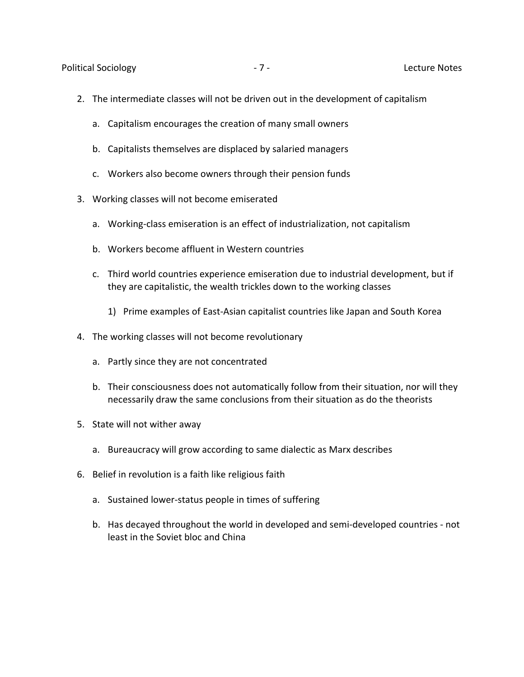Political Sociology **According to the Contract Contract Contract Contract Contract Contract Contract Contract Contract Contract Contract Contract Contract Contract Contract Contract Contract Contract Contract Contract Cont** 

- 2. The intermediate classes will not be driven out in the development of capitalism
	- a. Capitalism encourages the creation of many small owners
	- b. Capitalists themselves are displaced by salaried managers
	- c. Workers also become owners through their pension funds
- 3. Working classes will not become emiserated
	- a. Working-class emiseration is an effect of industrialization, not capitalism
	- b. Workers become affluent in Western countries
	- c. Third world countries experience emiseration due to industrial development, but if they are capitalistic, the wealth trickles down to the working classes
		- 1) Prime examples of East-Asian capitalist countries like Japan and South Korea
- 4. The working classes will not become revolutionary
	- a. Partly since they are not concentrated
	- b. Their consciousness does not automatically follow from their situation, nor will they necessarily draw the same conclusions from their situation as do the theorists
- 5. State will not wither away
	- a. Bureaucracy will grow according to same dialectic as Marx describes
- 6. Belief in revolution is a faith like religious faith
	- a. Sustained lower-status people in times of suffering
	- b. Has decayed throughout the world in developed and semi-developed countries not least in the Soviet bloc and China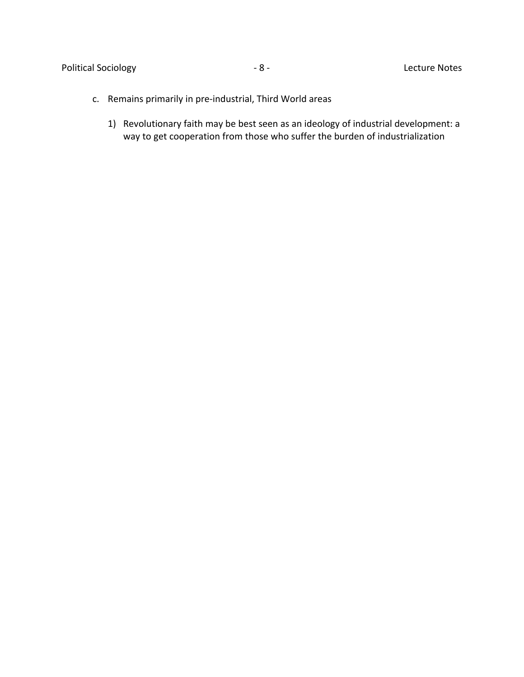# Political Sociology **According to According the SCS** - 8 - Contractors Christmas Lecture Notes

- c. Remains primarily in pre-industrial, Third World areas
	- 1) Revolutionary faith may be best seen as an ideology of industrial development: a way to get cooperation from those who suffer the burden of industrialization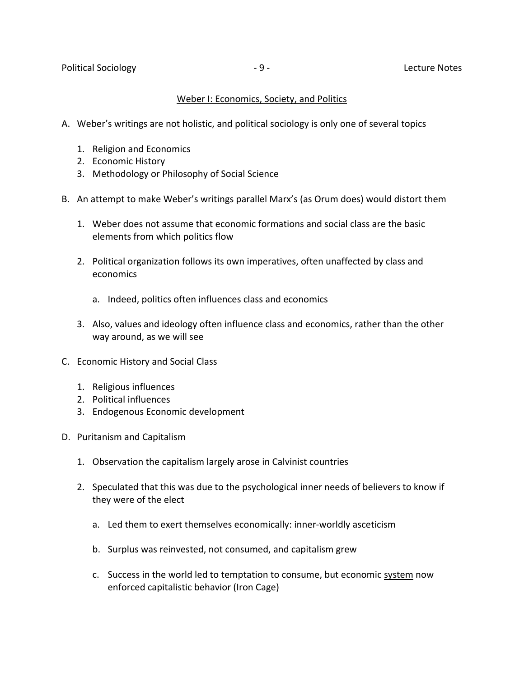## Weber I: Economics, Society, and Politics

- A. Weber's writings are not holistic, and political sociology is only one of several topics
	- 1. Religion and Economics
	- 2. Economic History
	- 3. Methodology or Philosophy of Social Science
- B. An attempt to make Weber's writings parallel Marx's (as Orum does) would distort them
	- 1. Weber does not assume that economic formations and social class are the basic elements from which politics flow
	- 2. Political organization follows its own imperatives, often unaffected by class and economics
		- a. Indeed, politics often influences class and economics
	- 3. Also, values and ideology often influence class and economics, rather than the other way around, as we will see
- C. Economic History and Social Class
	- 1. Religious influences
	- 2. Political influences
	- 3. Endogenous Economic development
- D. Puritanism and Capitalism
	- 1. Observation the capitalism largely arose in Calvinist countries
	- 2. Speculated that this was due to the psychological inner needs of believers to know if they were of the elect
		- a. Led them to exert themselves economically: inner-worldly asceticism
		- b. Surplus was reinvested, not consumed, and capitalism grew
		- c. Success in the world led to temptation to consume, but economic system now enforced capitalistic behavior (Iron Cage)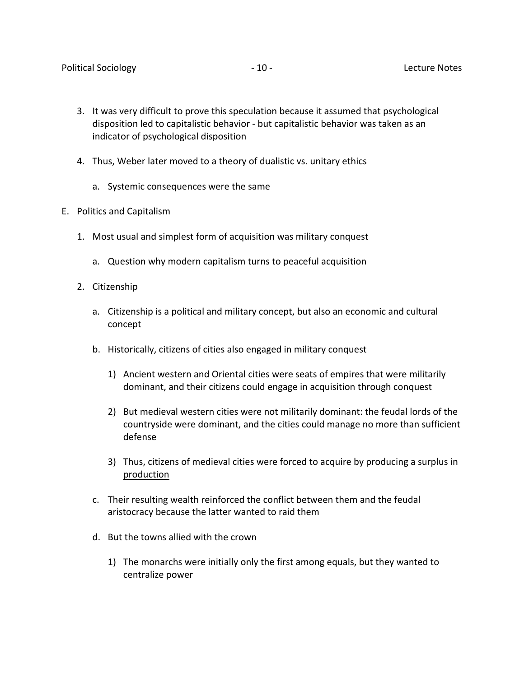- 3. It was very difficult to prove this speculation because it assumed that psychological disposition led to capitalistic behavior - but capitalistic behavior was taken as an indicator of psychological disposition
- 4. Thus, Weber later moved to a theory of dualistic vs. unitary ethics
	- a. Systemic consequences were the same
- E. Politics and Capitalism
	- 1. Most usual and simplest form of acquisition was military conquest
		- a. Question why modern capitalism turns to peaceful acquisition
	- 2. Citizenship
		- a. Citizenship is a political and military concept, but also an economic and cultural concept
		- b. Historically, citizens of cities also engaged in military conquest
			- 1) Ancient western and Oriental cities were seats of empires that were militarily dominant, and their citizens could engage in acquisition through conquest
			- 2) But medieval western cities were not militarily dominant: the feudal lords of the countryside were dominant, and the cities could manage no more than sufficient defense
			- 3) Thus, citizens of medieval cities were forced to acquire by producing a surplus in production
		- c. Their resulting wealth reinforced the conflict between them and the feudal aristocracy because the latter wanted to raid them
		- d. But the towns allied with the crown
			- 1) The monarchs were initially only the first among equals, but they wanted to centralize power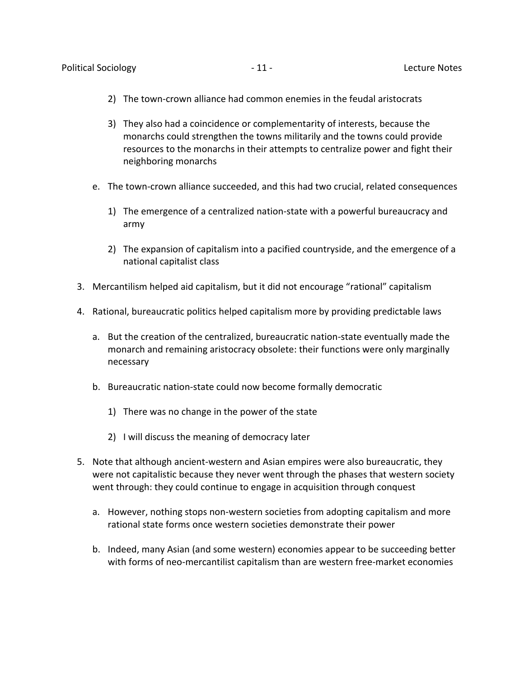- 2) The town-crown alliance had common enemies in the feudal aristocrats
- 3) They also had a coincidence or complementarity of interests, because the monarchs could strengthen the towns militarily and the towns could provide resources to the monarchs in their attempts to centralize power and fight their neighboring monarchs
- e. The town-crown alliance succeeded, and this had two crucial, related consequences
	- 1) The emergence of a centralized nation-state with a powerful bureaucracy and army
	- 2) The expansion of capitalism into a pacified countryside, and the emergence of a national capitalist class
- 3. Mercantilism helped aid capitalism, but it did not encourage "rational" capitalism
- 4. Rational, bureaucratic politics helped capitalism more by providing predictable laws
	- a. But the creation of the centralized, bureaucratic nation-state eventually made the monarch and remaining aristocracy obsolete: their functions were only marginally necessary
	- b. Bureaucratic nation-state could now become formally democratic
		- 1) There was no change in the power of the state
		- 2) I will discuss the meaning of democracy later
- 5. Note that although ancient-western and Asian empires were also bureaucratic, they were not capitalistic because they never went through the phases that western society went through: they could continue to engage in acquisition through conquest
	- a. However, nothing stops non-western societies from adopting capitalism and more rational state forms once western societies demonstrate their power
	- b. Indeed, many Asian (and some western) economies appear to be succeeding better with forms of neo-mercantilist capitalism than are western free-market economies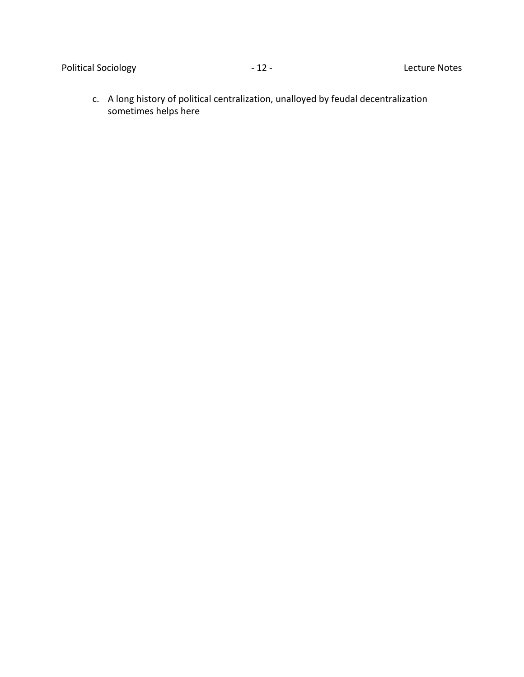c. A long history of political centralization, unalloyed by feudal decentralization sometimes helps here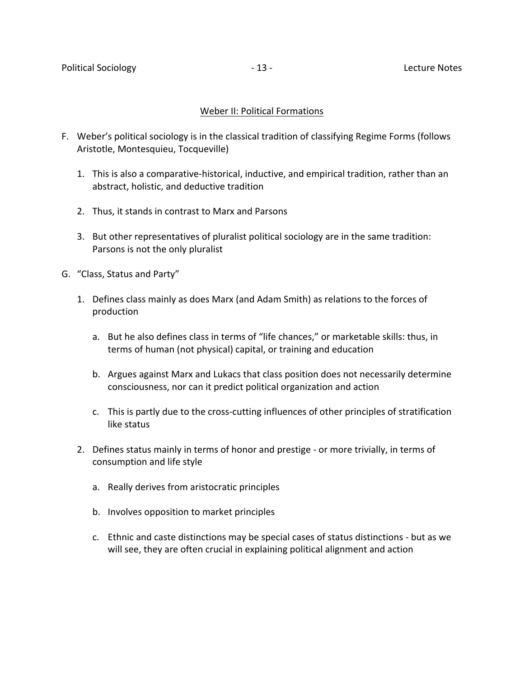#### Weber II: Political Formations

- F. Weber's political sociology is in the classical tradition of classifying Regime Forms (follows Aristotle, Montesquieu, Tocqueville)
	- 1. This is also a comparative-historical, inductive, and empirical tradition, rather than an abstract, holistic, and deductive tradition
	- 2. Thus, it stands in contrast to Marx and Parsons
	- 3. But other representatives of pluralist political sociology are in the same tradition: Parsons is not the only pluralist
- G. "Class, Status and Party"
	- 1. Defines class mainly as does Marx (and Adam Smith) as relations to the forces of production
		- a. But he also defines class in terms of "life chances," or marketable skills: thus, in terms of human (not physical) capital, or training and education
		- b. Argues against Marx and Lukacs that class position does not necessarily determine consciousness, nor can it predict political organization and action
		- c. This is partly due to the cross-cutting influences of other principles of stratification like status
	- 2. Defines status mainly in terms of honor and prestige or more trivially, in terms of consumption and life style
		- a. Really derives from aristocratic principles
		- b. Involves opposition to market principles
		- c. Ethnic and caste distinctions may be special cases of status distinctions but as we will see, they are often crucial in explaining political alignment and action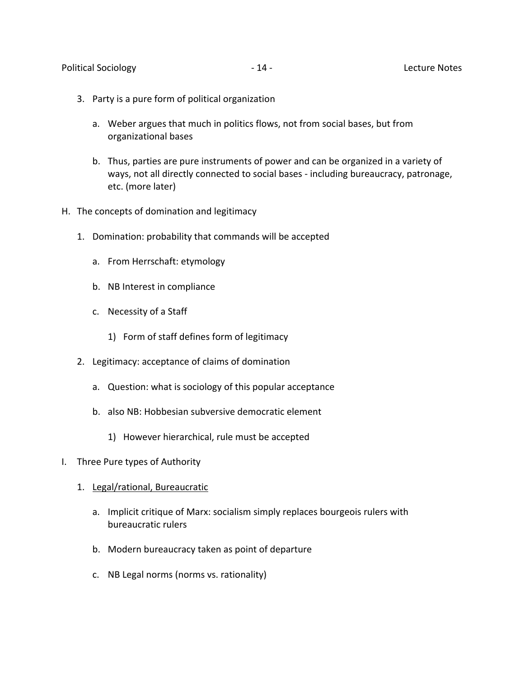- 3. Party is a pure form of political organization
	- a. Weber argues that much in politics flows, not from social bases, but from organizational bases
	- b. Thus, parties are pure instruments of power and can be organized in a variety of ways, not all directly connected to social bases - including bureaucracy, patronage, etc. (more later)
- H. The concepts of domination and legitimacy
	- 1. Domination: probability that commands will be accepted
		- a. From Herrschaft: etymology
		- b. NB Interest in compliance
		- c. Necessity of a Staff
			- 1) Form of staff defines form of legitimacy
	- 2. Legitimacy: acceptance of claims of domination
		- a. Question: what is sociology of this popular acceptance
		- b. also NB: Hobbesian subversive democratic element
			- 1) However hierarchical, rule must be accepted
- I. Three Pure types of Authority
	- 1. Legal/rational, Bureaucratic
		- a. Implicit critique of Marx: socialism simply replaces bourgeois rulers with bureaucratic rulers
		- b. Modern bureaucracy taken as point of departure
		- c. NB Legal norms (norms vs. rationality)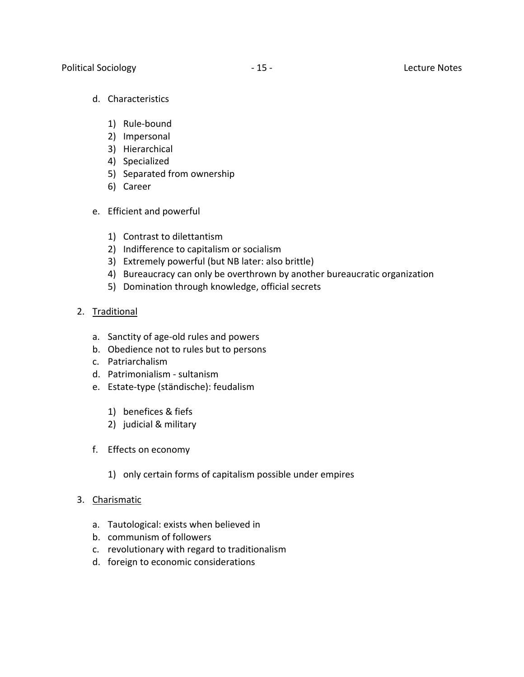- d. Characteristics
	- 1) Rule-bound
	- 2) Impersonal
	- 3) Hierarchical
	- 4) Specialized
	- 5) Separated from ownership
	- 6) Career
- e. Efficient and powerful
	- 1) Contrast to dilettantism
	- 2) Indifference to capitalism or socialism
	- 3) Extremely powerful (but NB later: also brittle)
	- 4) Bureaucracy can only be overthrown by another bureaucratic organization
	- 5) Domination through knowledge, official secrets
- 2. Traditional
	- a. Sanctity of age-old rules and powers
	- b. Obedience not to rules but to persons
	- c. Patriarchalism
	- d. Patrimonialism sultanism
	- e. Estate-type (ständische): feudalism
		- 1) benefices & fiefs
		- 2) judicial & military
	- f. Effects on economy
		- 1) only certain forms of capitalism possible under empires
- 3. Charismatic
	- a. Tautological: exists when believed in
	- b. communism of followers
	- c. revolutionary with regard to traditionalism
	- d. foreign to economic considerations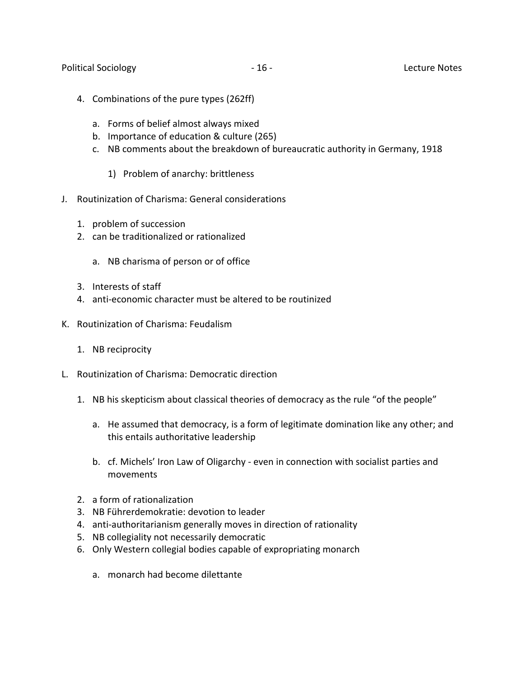- 4. Combinations of the pure types (262ff)
	- a. Forms of belief almost always mixed
	- b. Importance of education & culture (265)
	- c. NB comments about the breakdown of bureaucratic authority in Germany, 1918
		- 1) Problem of anarchy: brittleness
- J. Routinization of Charisma: General considerations
	- 1. problem of succession
	- 2. can be traditionalized or rationalized
		- a. NB charisma of person or of office
	- 3. Interests of staff
	- 4. anti-economic character must be altered to be routinized
- K. Routinization of Charisma: Feudalism
	- 1. NB reciprocity
- L. Routinization of Charisma: Democratic direction
	- 1. NB his skepticism about classical theories of democracy as the rule "of the people"
		- a. He assumed that democracy, is a form of legitimate domination like any other; and this entails authoritative leadership
		- b. cf. Michels' Iron Law of Oligarchy even in connection with socialist parties and movements
	- 2. a form of rationalization
	- 3. NB Führerdemokratie: devotion to leader
	- 4. anti-authoritarianism generally moves in direction of rationality
	- 5. NB collegiality not necessarily democratic
	- 6. Only Western collegial bodies capable of expropriating monarch
		- a. monarch had become dilettante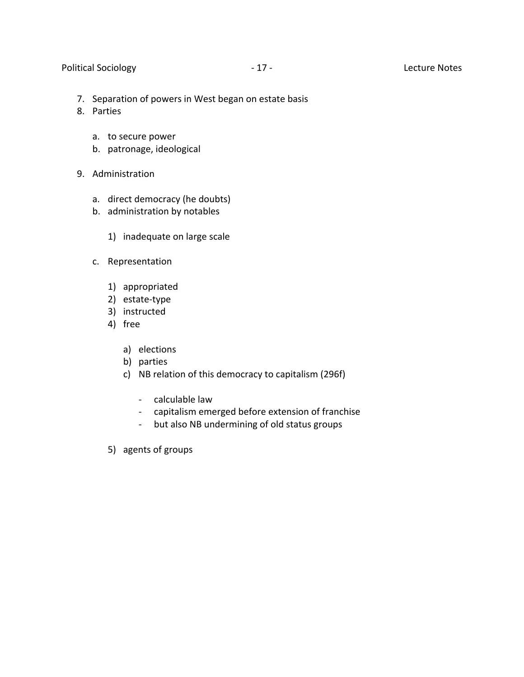#### Political Sociology **Contract Contract Contract Contract Contract Contract Contract Contract Contract Contract Contract Contract Contract Contract Contract Contract Contract Contract Contract Contract Contract Contract Con**

- 7. Separation of powers in West began on estate basis
- 8. Parties
	- a. to secure power
	- b. patronage, ideological
- 9. Administration
	- a. direct democracy (he doubts)
	- b. administration by notables
		- 1) inadequate on large scale
	- c. Representation
		- 1) appropriated
		- 2) estate-type
		- 3) instructed
		- 4) free
			- a) elections
			- b) parties
			- c) NB relation of this democracy to capitalism (296f)
				- calculable law
				- capitalism emerged before extension of franchise
				- but also NB undermining of old status groups
		- 5) agents of groups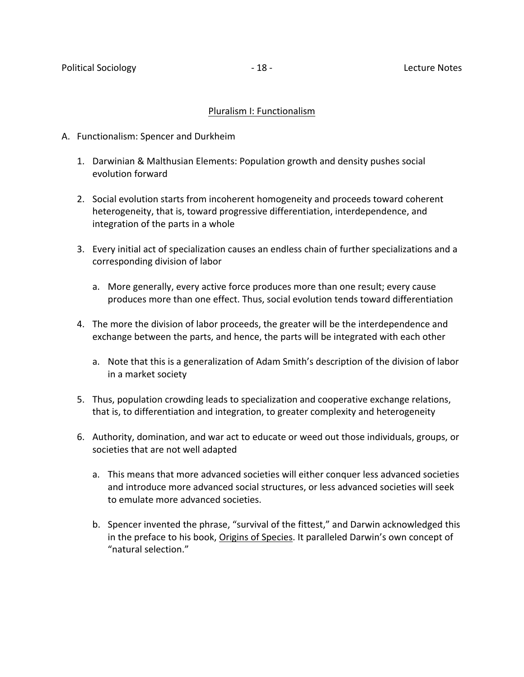#### Pluralism I: Functionalism

- A. Functionalism: Spencer and Durkheim
	- 1. Darwinian & Malthusian Elements: Population growth and density pushes social evolution forward
	- 2. Social evolution starts from incoherent homogeneity and proceeds toward coherent heterogeneity, that is, toward progressive differentiation, interdependence, and integration of the parts in a whole
	- 3. Every initial act of specialization causes an endless chain of further specializations and a corresponding division of labor
		- a. More generally, every active force produces more than one result; every cause produces more than one effect. Thus, social evolution tends toward differentiation
	- 4. The more the division of labor proceeds, the greater will be the interdependence and exchange between the parts, and hence, the parts will be integrated with each other
		- a. Note that this is a generalization of Adam Smith's description of the division of labor in a market society
	- 5. Thus, population crowding leads to specialization and cooperative exchange relations, that is, to differentiation and integration, to greater complexity and heterogeneity
	- 6. Authority, domination, and war act to educate or weed out those individuals, groups, or societies that are not well adapted
		- a. This means that more advanced societies will either conquer less advanced societies and introduce more advanced social structures, or less advanced societies will seek to emulate more advanced societies.
		- b. Spencer invented the phrase, "survival of the fittest," and Darwin acknowledged this in the preface to his book, Origins of Species. It paralleled Darwin's own concept of "natural selection."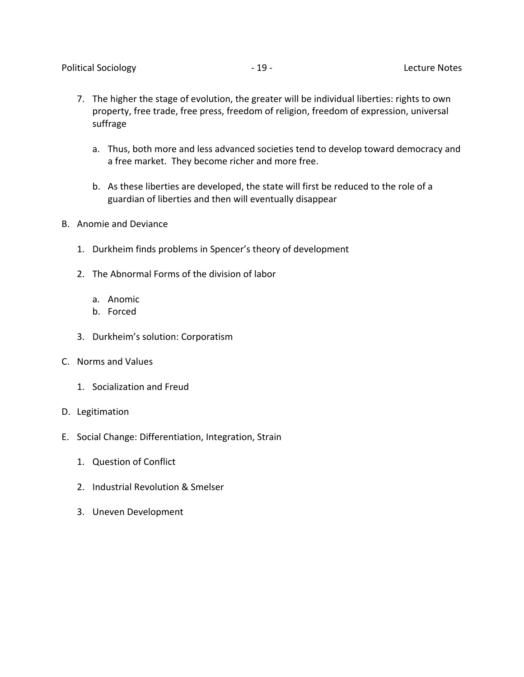- 7. The higher the stage of evolution, the greater will be individual liberties: rights to own property, free trade, free press, freedom of religion, freedom of expression, universal suffrage
	- a. Thus, both more and less advanced societies tend to develop toward democracy and a free market. They become richer and more free.
	- b. As these liberties are developed, the state will first be reduced to the role of a guardian of liberties and then will eventually disappear
- B. Anomie and Deviance
	- 1. Durkheim finds problems in Spencer's theory of development
	- 2. The Abnormal Forms of the division of labor
		- a. Anomic
		- b. Forced
	- 3. Durkheim's solution: Corporatism
- C. Norms and Values
	- 1. Socialization and Freud
- D. Legitimation
- E. Social Change: Differentiation, Integration, Strain
	- 1. Question of Conflict
	- 2. Industrial Revolution & Smelser
	- 3. Uneven Development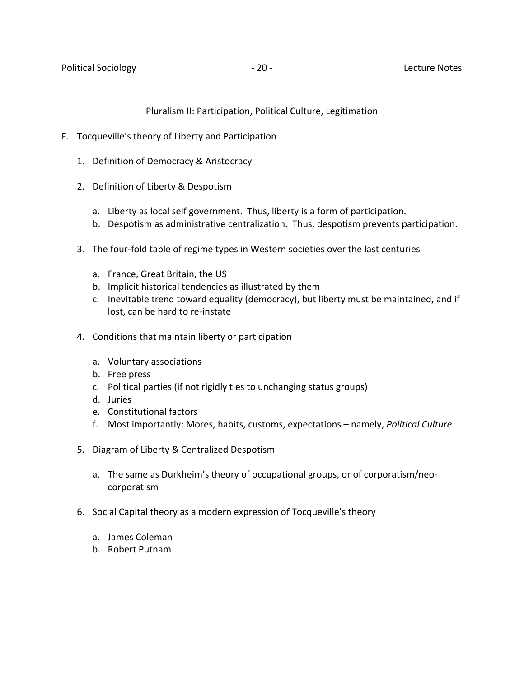## Pluralism II: Participation, Political Culture, Legitimation

- F. Tocqueville's theory of Liberty and Participation
	- 1. Definition of Democracy & Aristocracy
	- 2. Definition of Liberty & Despotism
		- a. Liberty as local self government. Thus, liberty is a form of participation.
		- b. Despotism as administrative centralization. Thus, despotism prevents participation.
	- 3. The four-fold table of regime types in Western societies over the last centuries
		- a. France, Great Britain, the US
		- b. Implicit historical tendencies as illustrated by them
		- c. Inevitable trend toward equality (democracy), but liberty must be maintained, and if lost, can be hard to re-instate
	- 4. Conditions that maintain liberty or participation
		- a. Voluntary associations
		- b. Free press
		- c. Political parties (if not rigidly ties to unchanging status groups)
		- d. Juries
		- e. Constitutional factors
		- f. Most importantly: Mores, habits, customs, expectations namely, *Political Culture*
	- 5. Diagram of Liberty & Centralized Despotism
		- a. The same as Durkheim's theory of occupational groups, or of corporatism/neocorporatism
	- 6. Social Capital theory as a modern expression of Tocqueville's theory
		- a. James Coleman
		- b. Robert Putnam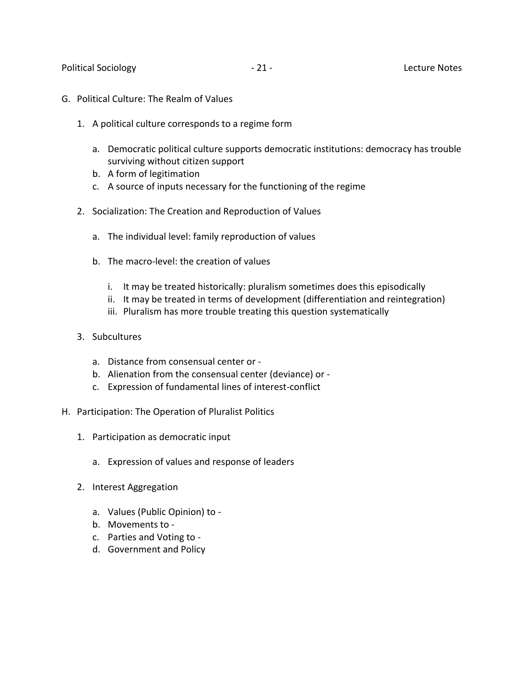- G. Political Culture: The Realm of Values
	- 1. A political culture corresponds to a regime form
		- a. Democratic political culture supports democratic institutions: democracy has trouble surviving without citizen support
		- b. A form of legitimation
		- c. A source of inputs necessary for the functioning of the regime
	- 2. Socialization: The Creation and Reproduction of Values
		- a. The individual level: family reproduction of values
		- b. The macro-level: the creation of values
			- i. It may be treated historically: pluralism sometimes does this episodically
			- ii. It may be treated in terms of development (differentiation and reintegration)
			- iii. Pluralism has more trouble treating this question systematically
	- 3. Subcultures
		- a. Distance from consensual center or -
		- b. Alienation from the consensual center (deviance) or -
		- c. Expression of fundamental lines of interest-conflict
- H. Participation: The Operation of Pluralist Politics
	- 1. Participation as democratic input
		- a. Expression of values and response of leaders
	- 2. Interest Aggregation
		- a. Values (Public Opinion) to -
		- b. Movements to -
		- c. Parties and Voting to -
		- d. Government and Policy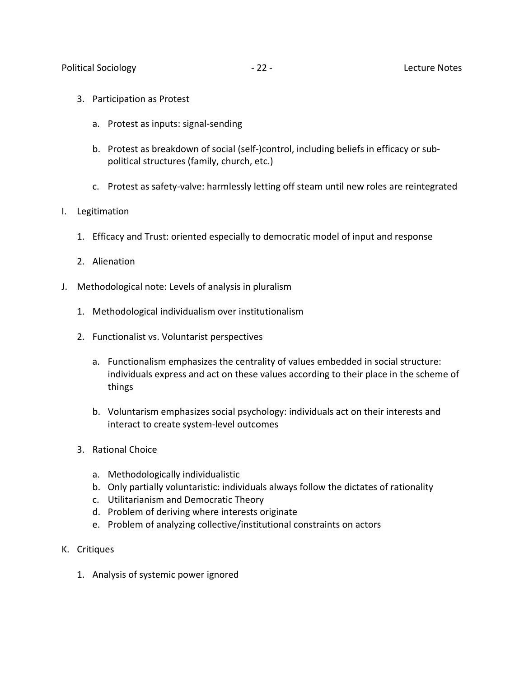- 3. Participation as Protest
	- a. Protest as inputs: signal-sending
	- b. Protest as breakdown of social (self-)control, including beliefs in efficacy or subpolitical structures (family, church, etc.)
	- c. Protest as safety-valve: harmlessly letting off steam until new roles are reintegrated

# I. Legitimation

- 1. Efficacy and Trust: oriented especially to democratic model of input and response
- 2. Alienation
- J. Methodological note: Levels of analysis in pluralism
	- 1. Methodological individualism over institutionalism
	- 2. Functionalist vs. Voluntarist perspectives
		- a. Functionalism emphasizes the centrality of values embedded in social structure: individuals express and act on these values according to their place in the scheme of things
		- b. Voluntarism emphasizes social psychology: individuals act on their interests and interact to create system-level outcomes
	- 3. Rational Choice
		- a. Methodologically individualistic
		- b. Only partially voluntaristic: individuals always follow the dictates of rationality
		- c. Utilitarianism and Democratic Theory
		- d. Problem of deriving where interests originate
		- e. Problem of analyzing collective/institutional constraints on actors
- K. Critiques
	- 1. Analysis of systemic power ignored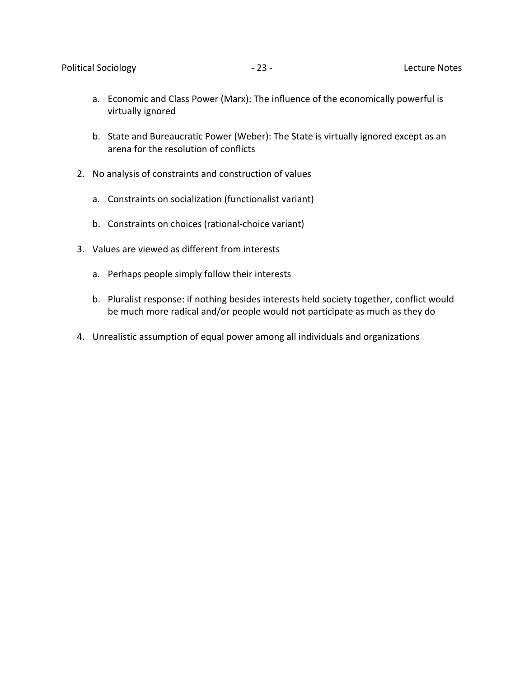- a. Economic and Class Power (Marx): The influence of the economically powerful is virtually ignored
- b. State and Bureaucratic Power (Weber): The State is virtually ignored except as an arena for the resolution of conflicts
- 2. No analysis of constraints and construction of values
	- a. Constraints on socialization (functionalist variant)
	- b. Constraints on choices (rational-choice variant)
- 3. Values are viewed as different from interests
	- a. Perhaps people simply follow their interests
	- b. Pluralist response: if nothing besides interests held society together, conflict would be much more radical and/or people would not participate as much as they do
- 4. Unrealistic assumption of equal power among all individuals and organizations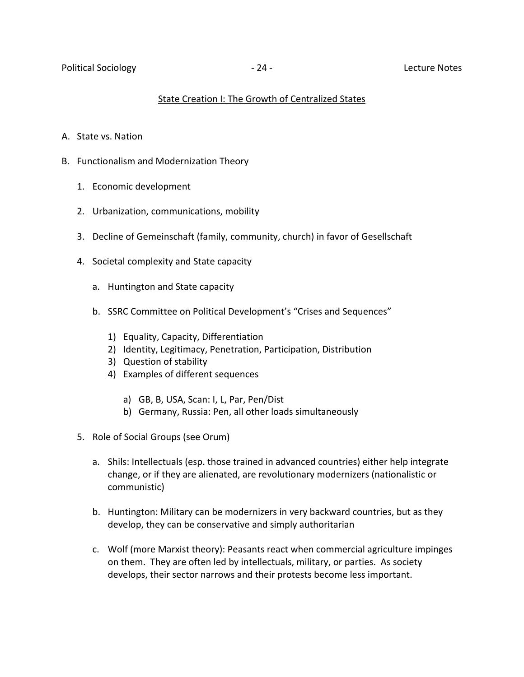# State Creation I: The Growth of Centralized States

- A. State vs. Nation
- B. Functionalism and Modernization Theory
	- 1. Economic development
	- 2. Urbanization, communications, mobility
	- 3. Decline of Gemeinschaft (family, community, church) in favor of Gesellschaft
	- 4. Societal complexity and State capacity
		- a. Huntington and State capacity
		- b. SSRC Committee on Political Development's "Crises and Sequences"
			- 1) Equality, Capacity, Differentiation
			- 2) Identity, Legitimacy, Penetration, Participation, Distribution
			- 3) Question of stability
			- 4) Examples of different sequences
				- a) GB, B, USA, Scan: I, L, Par, Pen/Dist
				- b) Germany, Russia: Pen, all other loads simultaneously
	- 5. Role of Social Groups (see Orum)
		- a. Shils: Intellectuals (esp. those trained in advanced countries) either help integrate change, or if they are alienated, are revolutionary modernizers (nationalistic or communistic)
		- b. Huntington: Military can be modernizers in very backward countries, but as they develop, they can be conservative and simply authoritarian
		- c. Wolf (more Marxist theory): Peasants react when commercial agriculture impinges on them. They are often led by intellectuals, military, or parties. As society develops, their sector narrows and their protests become less important.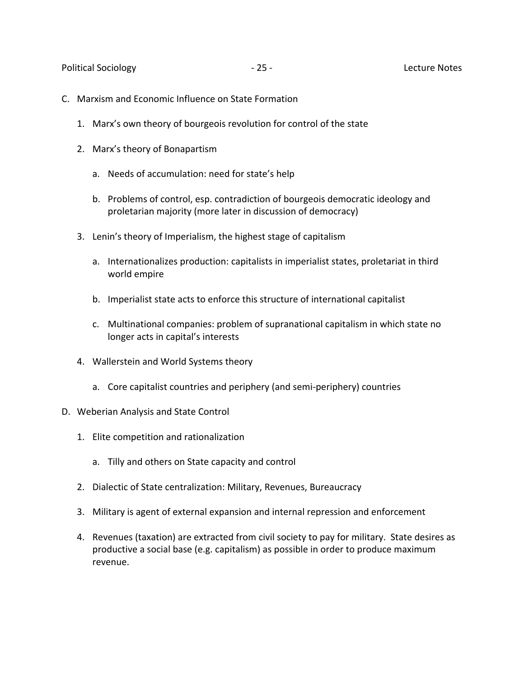Political Sociology **25 - 25 - Lecture Notes** 

- C. Marxism and Economic Influence on State Formation
	- 1. Marx's own theory of bourgeois revolution for control of the state
	- 2. Marx's theory of Bonapartism
		- a. Needs of accumulation: need for state's help
		- b. Problems of control, esp. contradiction of bourgeois democratic ideology and proletarian majority (more later in discussion of democracy)
	- 3. Lenin's theory of Imperialism, the highest stage of capitalism
		- a. Internationalizes production: capitalists in imperialist states, proletariat in third world empire
		- b. Imperialist state acts to enforce this structure of international capitalist
		- c. Multinational companies: problem of supranational capitalism in which state no longer acts in capital's interests
	- 4. Wallerstein and World Systems theory
		- a. Core capitalist countries and periphery (and semi-periphery) countries
- D. Weberian Analysis and State Control
	- 1. Elite competition and rationalization
		- a. Tilly and others on State capacity and control
	- 2. Dialectic of State centralization: Military, Revenues, Bureaucracy
	- 3. Military is agent of external expansion and internal repression and enforcement
	- 4. Revenues (taxation) are extracted from civil society to pay for military. State desires as productive a social base (e.g. capitalism) as possible in order to produce maximum revenue.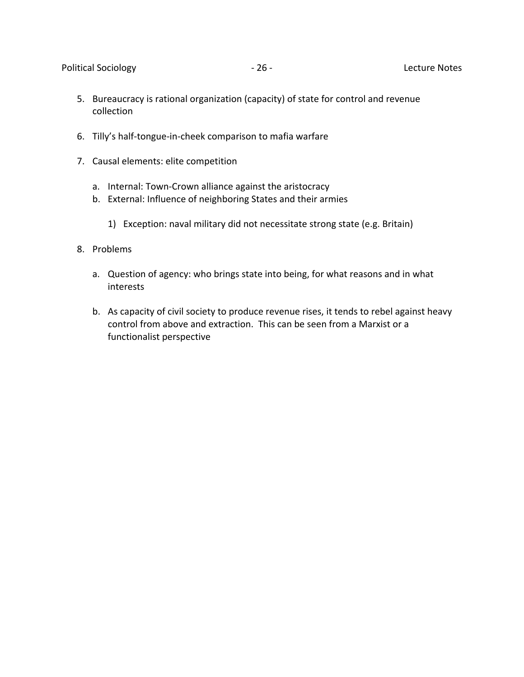- 5. Bureaucracy is rational organization (capacity) of state for control and revenue collection
- 6. Tilly's half-tongue-in-cheek comparison to mafia warfare
- 7. Causal elements: elite competition
	- a. Internal: Town-Crown alliance against the aristocracy
	- b. External: Influence of neighboring States and their armies
		- 1) Exception: naval military did not necessitate strong state (e.g. Britain)
- 8. Problems
	- a. Question of agency: who brings state into being, for what reasons and in what interests
	- b. As capacity of civil society to produce revenue rises, it tends to rebel against heavy control from above and extraction. This can be seen from a Marxist or a functionalist perspective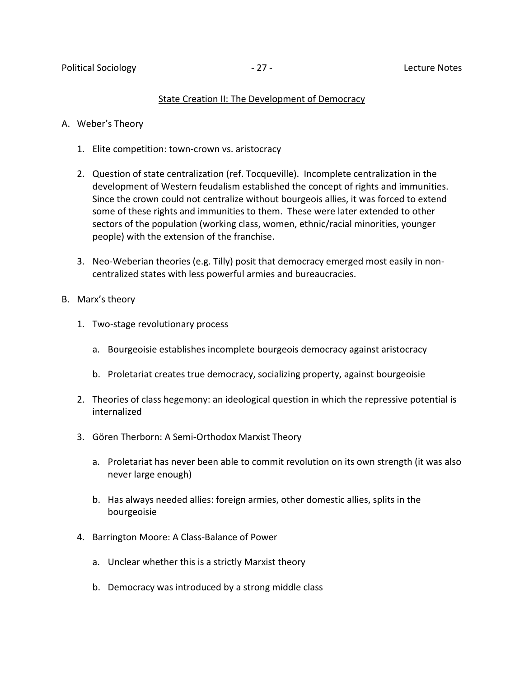#### State Creation II: The Development of Democracy

- A. Weber's Theory
	- 1. Elite competition: town-crown vs. aristocracy
	- 2. Question of state centralization (ref. Tocqueville). Incomplete centralization in the development of Western feudalism established the concept of rights and immunities. Since the crown could not centralize without bourgeois allies, it was forced to extend some of these rights and immunities to them. These were later extended to other sectors of the population (working class, women, ethnic/racial minorities, younger people) with the extension of the franchise.
	- 3. Neo-Weberian theories (e.g. Tilly) posit that democracy emerged most easily in noncentralized states with less powerful armies and bureaucracies.
- B. Marx's theory
	- 1. Two-stage revolutionary process
		- a. Bourgeoisie establishes incomplete bourgeois democracy against aristocracy
		- b. Proletariat creates true democracy, socializing property, against bourgeoisie
	- 2. Theories of class hegemony: an ideological question in which the repressive potential is internalized
	- 3. Gören Therborn: A Semi-Orthodox Marxist Theory
		- a. Proletariat has never been able to commit revolution on its own strength (it was also never large enough)
		- b. Has always needed allies: foreign armies, other domestic allies, splits in the bourgeoisie
	- 4. Barrington Moore: A Class-Balance of Power
		- a. Unclear whether this is a strictly Marxist theory
		- b. Democracy was introduced by a strong middle class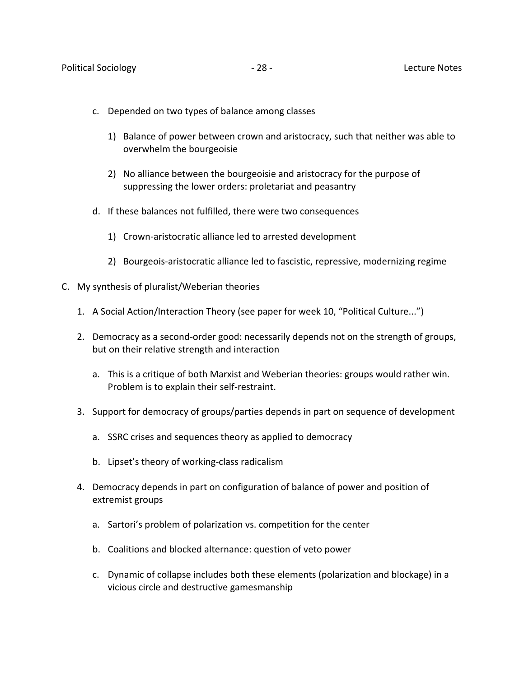- c. Depended on two types of balance among classes
	- 1) Balance of power between crown and aristocracy, such that neither was able to overwhelm the bourgeoisie
	- 2) No alliance between the bourgeoisie and aristocracy for the purpose of suppressing the lower orders: proletariat and peasantry
- d. If these balances not fulfilled, there were two consequences
	- 1) Crown-aristocratic alliance led to arrested development
	- 2) Bourgeois-aristocratic alliance led to fascistic, repressive, modernizing regime
- C. My synthesis of pluralist/Weberian theories
	- 1. A Social Action/Interaction Theory (see paper for week 10, "Political Culture...")
	- 2. Democracy as a second-order good: necessarily depends not on the strength of groups, but on their relative strength and interaction
		- a. This is a critique of both Marxist and Weberian theories: groups would rather win. Problem is to explain their self-restraint.
	- 3. Support for democracy of groups/parties depends in part on sequence of development
		- a. SSRC crises and sequences theory as applied to democracy
		- b. Lipset's theory of working-class radicalism
	- 4. Democracy depends in part on configuration of balance of power and position of extremist groups
		- a. Sartori's problem of polarization vs. competition for the center
		- b. Coalitions and blocked alternance: question of veto power
		- c. Dynamic of collapse includes both these elements (polarization and blockage) in a vicious circle and destructive gamesmanship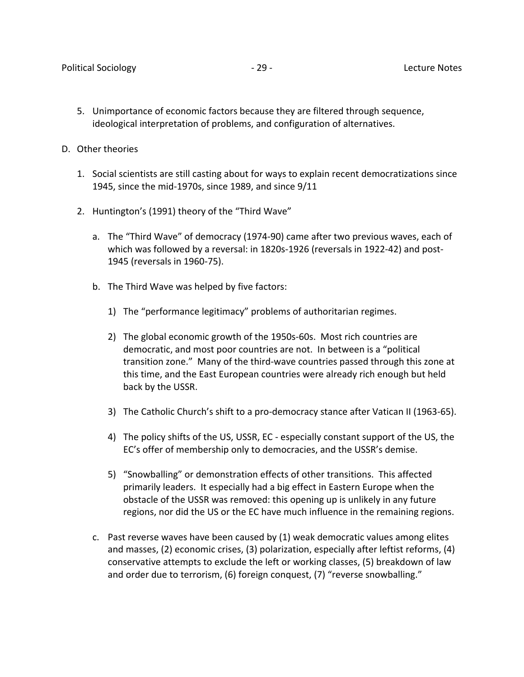- 5. Unimportance of economic factors because they are filtered through sequence, ideological interpretation of problems, and configuration of alternatives.
- D. Other theories
	- 1. Social scientists are still casting about for ways to explain recent democratizations since 1945, since the mid-1970s, since 1989, and since 9/11
	- 2. Huntington's (1991) theory of the "Third Wave"
		- a. The "Third Wave" of democracy (1974-90) came after two previous waves, each of which was followed by a reversal: in 1820s-1926 (reversals in 1922-42) and post-1945 (reversals in 1960-75).
		- b. The Third Wave was helped by five factors:
			- 1) The "performance legitimacy" problems of authoritarian regimes.
			- 2) The global economic growth of the 1950s-60s. Most rich countries are democratic, and most poor countries are not. In between is a "political transition zone." Many of the third-wave countries passed through this zone at this time, and the East European countries were already rich enough but held back by the USSR.
			- 3) The Catholic Church's shift to a pro-democracy stance after Vatican II (1963-65).
			- 4) The policy shifts of the US, USSR, EC especially constant support of the US, the EC's offer of membership only to democracies, and the USSR's demise.
			- 5) "Snowballing" or demonstration effects of other transitions. This affected primarily leaders. It especially had a big effect in Eastern Europe when the obstacle of the USSR was removed: this opening up is unlikely in any future regions, nor did the US or the EC have much influence in the remaining regions.
		- c. Past reverse waves have been caused by (1) weak democratic values among elites and masses, (2) economic crises, (3) polarization, especially after leftist reforms, (4) conservative attempts to exclude the left or working classes, (5) breakdown of law and order due to terrorism, (6) foreign conquest, (7) "reverse snowballing."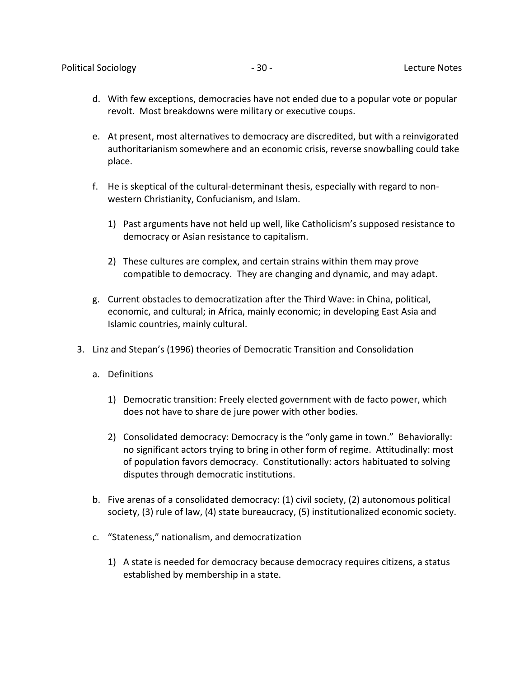- d. With few exceptions, democracies have not ended due to a popular vote or popular revolt. Most breakdowns were military or executive coups.
- e. At present, most alternatives to democracy are discredited, but with a reinvigorated authoritarianism somewhere and an economic crisis, reverse snowballing could take place.
- f. He is skeptical of the cultural-determinant thesis, especially with regard to nonwestern Christianity, Confucianism, and Islam.
	- 1) Past arguments have not held up well, like Catholicism's supposed resistance to democracy or Asian resistance to capitalism.
	- 2) These cultures are complex, and certain strains within them may prove compatible to democracy. They are changing and dynamic, and may adapt.
- g. Current obstacles to democratization after the Third Wave: in China, political, economic, and cultural; in Africa, mainly economic; in developing East Asia and Islamic countries, mainly cultural.
- 3. Linz and Stepan's (1996) theories of Democratic Transition and Consolidation
	- a. Definitions
		- 1) Democratic transition: Freely elected government with de facto power, which does not have to share de jure power with other bodies.
		- 2) Consolidated democracy: Democracy is the "only game in town." Behaviorally: no significant actors trying to bring in other form of regime. Attitudinally: most of population favors democracy. Constitutionally: actors habituated to solving disputes through democratic institutions.
	- b. Five arenas of a consolidated democracy: (1) civil society, (2) autonomous political society, (3) rule of law, (4) state bureaucracy, (5) institutionalized economic society.
	- c. "Stateness," nationalism, and democratization
		- 1) A state is needed for democracy because democracy requires citizens, a status established by membership in a state.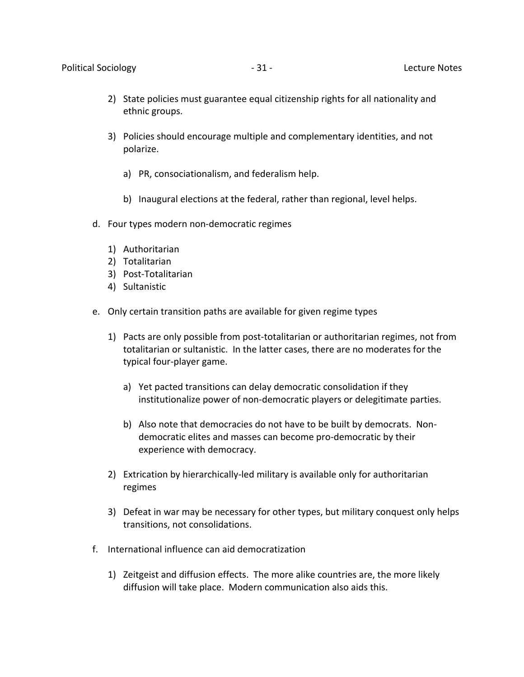- 2) State policies must guarantee equal citizenship rights for all nationality and ethnic groups.
- 3) Policies should encourage multiple and complementary identities, and not polarize.
	- a) PR, consociationalism, and federalism help.
	- b) Inaugural elections at the federal, rather than regional, level helps.
- d. Four types modern non-democratic regimes
	- 1) Authoritarian
	- 2) Totalitarian
	- 3) Post-Totalitarian
	- 4) Sultanistic
- e. Only certain transition paths are available for given regime types
	- 1) Pacts are only possible from post-totalitarian or authoritarian regimes, not from totalitarian or sultanistic. In the latter cases, there are no moderates for the typical four-player game.
		- a) Yet pacted transitions can delay democratic consolidation if they institutionalize power of non-democratic players or delegitimate parties.
		- b) Also note that democracies do not have to be built by democrats. Nondemocratic elites and masses can become pro-democratic by their experience with democracy.
	- 2) Extrication by hierarchically-led military is available only for authoritarian regimes
	- 3) Defeat in war may be necessary for other types, but military conquest only helps transitions, not consolidations.
- f. International influence can aid democratization
	- 1) Zeitgeist and diffusion effects. The more alike countries are, the more likely diffusion will take place. Modern communication also aids this.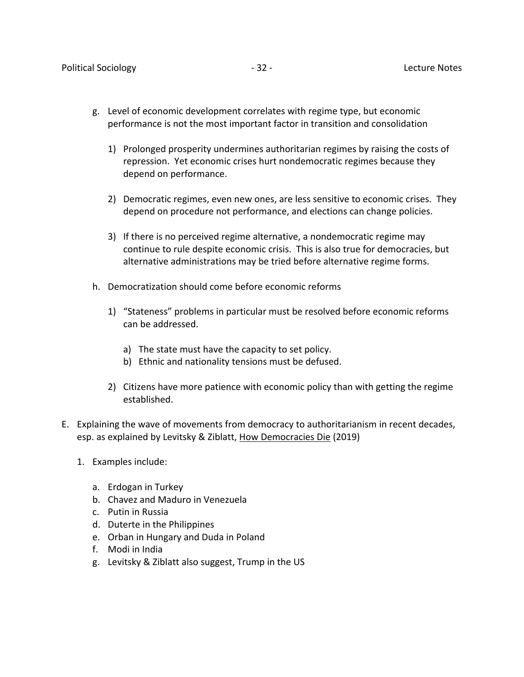- g. Level of economic development correlates with regime type, but economic performance is not the most important factor in transition and consolidation
	- 1) Prolonged prosperity undermines authoritarian regimes by raising the costs of repression. Yet economic crises hurt nondemocratic regimes because they depend on performance.
	- 2) Democratic regimes, even new ones, are less sensitive to economic crises. They depend on procedure not performance, and elections can change policies.
	- 3) If there is no perceived regime alternative, a nondemocratic regime may continue to rule despite economic crisis. This is also true for democracies, but alternative administrations may be tried before alternative regime forms.
- h. Democratization should come before economic reforms
	- 1) "Stateness" problems in particular must be resolved before economic reforms can be addressed.
		- a) The state must have the capacity to set policy.
		- b) Ethnic and nationality tensions must be defused.
	- 2) Citizens have more patience with economic policy than with getting the regime established.
- E. Explaining the wave of movements from democracy to authoritarianism in recent decades, esp. as explained by Levitsky & Ziblatt, How Democracies Die (2019)
	- 1. Examples include:
		- a. Erdogan in Turkey
		- b. Chavez and Maduro in Venezuela
		- c. Putin in Russia
		- d. Duterte in the Philippines
		- e. Orban in Hungary and Duda in Poland
		- f. Modi in India
		- g. Levitsky & Ziblatt also suggest, Trump in the US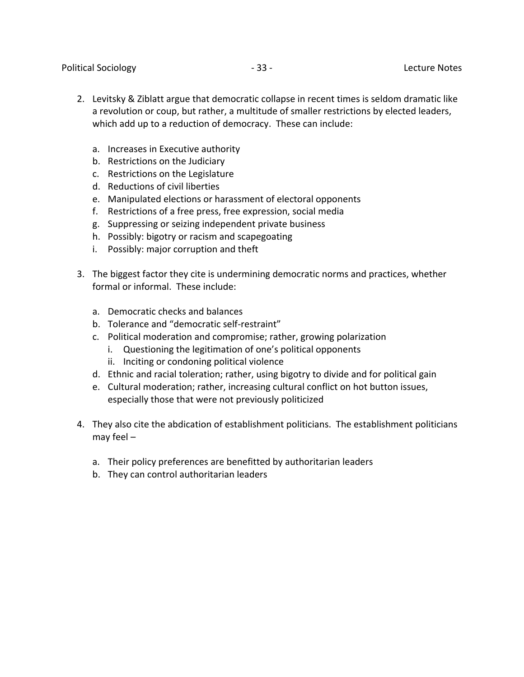Political Sociology - 33 - Lecture Notes

- 2. Levitsky & Ziblatt argue that democratic collapse in recent times is seldom dramatic like a revolution or coup, but rather, a multitude of smaller restrictions by elected leaders, which add up to a reduction of democracy. These can include:
	- a. Increases in Executive authority
	- b. Restrictions on the Judiciary
	- c. Restrictions on the Legislature
	- d. Reductions of civil liberties
	- e. Manipulated elections or harassment of electoral opponents
	- f. Restrictions of a free press, free expression, social media
	- g. Suppressing or seizing independent private business
	- h. Possibly: bigotry or racism and scapegoating
	- i. Possibly: major corruption and theft
- 3. The biggest factor they cite is undermining democratic norms and practices, whether formal or informal. These include:
	- a. Democratic checks and balances
	- b. Tolerance and "democratic self-restraint"
	- c. Political moderation and compromise; rather, growing polarization
		- i. Questioning the legitimation of one's political opponents
		- ii. Inciting or condoning political violence
	- d. Ethnic and racial toleration; rather, using bigotry to divide and for political gain
	- e. Cultural moderation; rather, increasing cultural conflict on hot button issues, especially those that were not previously politicized
- 4. They also cite the abdication of establishment politicians. The establishment politicians may feel –
	- a. Their policy preferences are benefitted by authoritarian leaders
	- b. They can control authoritarian leaders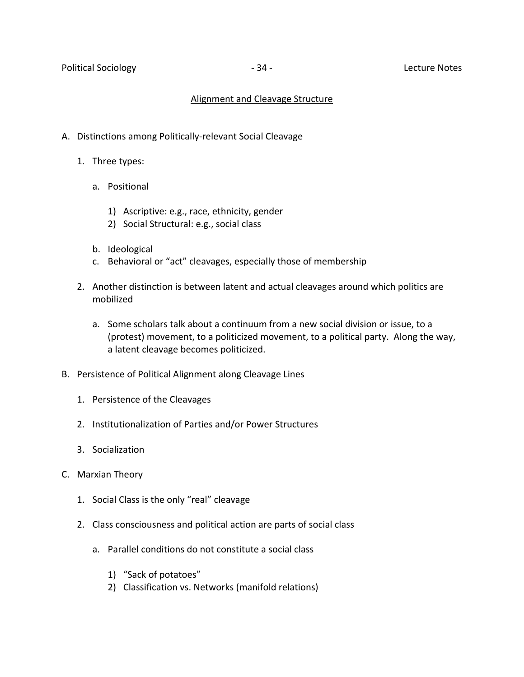## Alignment and Cleavage Structure

- A. Distinctions among Politically-relevant Social Cleavage
	- 1. Three types:
		- a. Positional
			- 1) Ascriptive: e.g., race, ethnicity, gender
			- 2) Social Structural: e.g., social class
		- b. Ideological
		- c. Behavioral or "act" cleavages, especially those of membership
	- 2. Another distinction is between latent and actual cleavages around which politics are mobilized
		- a. Some scholars talk about a continuum from a new social division or issue, to a (protest) movement, to a politicized movement, to a political party. Along the way, a latent cleavage becomes politicized.
- B. Persistence of Political Alignment along Cleavage Lines
	- 1. Persistence of the Cleavages
	- 2. Institutionalization of Parties and/or Power Structures
	- 3. Socialization
- C. Marxian Theory
	- 1. Social Class is the only "real" cleavage
	- 2. Class consciousness and political action are parts of social class
		- a. Parallel conditions do not constitute a social class
			- 1) "Sack of potatoes"
			- 2) Classification vs. Networks (manifold relations)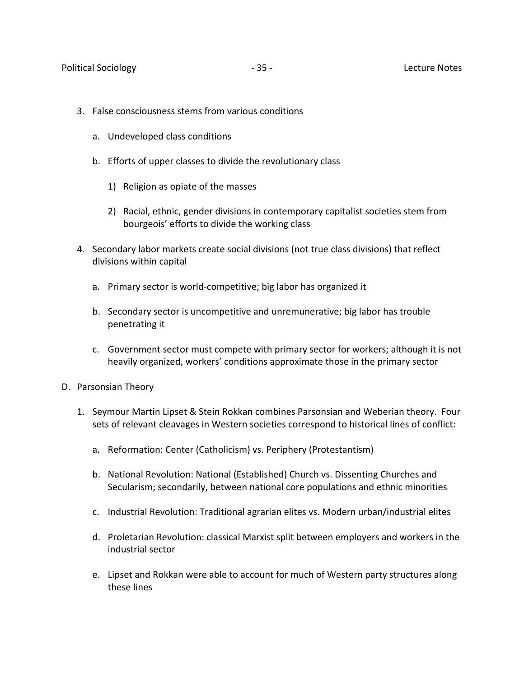- 3. False consciousness stems from various conditions
	- a. Undeveloped class conditions
	- b. Efforts of upper classes to divide the revolutionary class
		- 1) Religion as opiate of the masses
		- 2) Racial, ethnic, gender divisions in contemporary capitalist societies stem from bourgeois' efforts to divide the working class
- 4. Secondary labor markets create social divisions (not true class divisions) that reflect divisions within capital
	- a. Primary sector is world-competitive; big labor has organized it
	- b. Secondary sector is uncompetitive and unremunerative; big labor has trouble penetrating it
	- c. Government sector must compete with primary sector for workers; although it is not heavily organized, workers' conditions approximate those in the primary sector
- D. Parsonsian Theory
	- 1. Seymour Martin Lipset & Stein Rokkan combines Parsonsian and Weberian theory. Four sets of relevant cleavages in Western societies correspond to historical lines of conflict:
		- a. Reformation: Center (Catholicism) vs. Periphery (Protestantism)
		- b. National Revolution: National (Established) Church vs. Dissenting Churches and Secularism; secondarily, between national core populations and ethnic minorities
		- c. Industrial Revolution: Traditional agrarian elites vs. Modern urban/industrial elites
		- d. Proletarian Revolution: classical Marxist split between employers and workers in the industrial sector
		- e. Lipset and Rokkan were able to account for much of Western party structures along these lines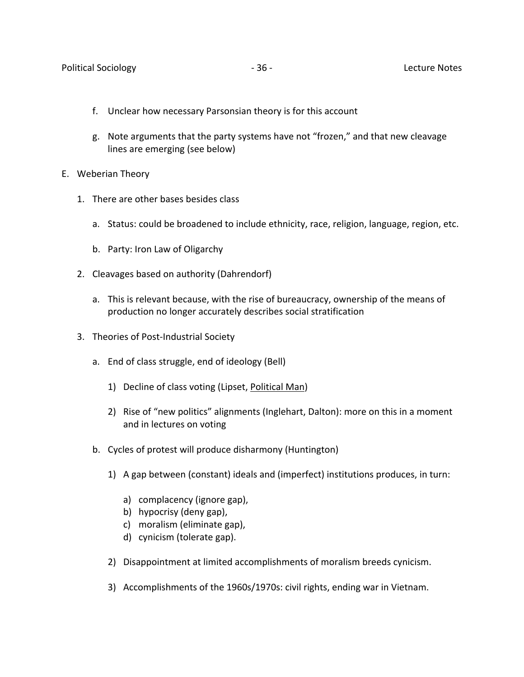- f. Unclear how necessary Parsonsian theory is for this account
- g. Note arguments that the party systems have not "frozen," and that new cleavage lines are emerging (see below)
- E. Weberian Theory
	- 1. There are other bases besides class
		- a. Status: could be broadened to include ethnicity, race, religion, language, region, etc.
		- b. Party: Iron Law of Oligarchy
	- 2. Cleavages based on authority (Dahrendorf)
		- a. This is relevant because, with the rise of bureaucracy, ownership of the means of production no longer accurately describes social stratification
	- 3. Theories of Post-Industrial Society
		- a. End of class struggle, end of ideology (Bell)
			- 1) Decline of class voting (Lipset, Political Man)
			- 2) Rise of "new politics" alignments (Inglehart, Dalton): more on this in a moment and in lectures on voting
		- b. Cycles of protest will produce disharmony (Huntington)
			- 1) A gap between (constant) ideals and (imperfect) institutions produces, in turn:
				- a) complacency (ignore gap),
				- b) hypocrisy (deny gap),
				- c) moralism (eliminate gap),
				- d) cynicism (tolerate gap).
			- 2) Disappointment at limited accomplishments of moralism breeds cynicism.
			- 3) Accomplishments of the 1960s/1970s: civil rights, ending war in Vietnam.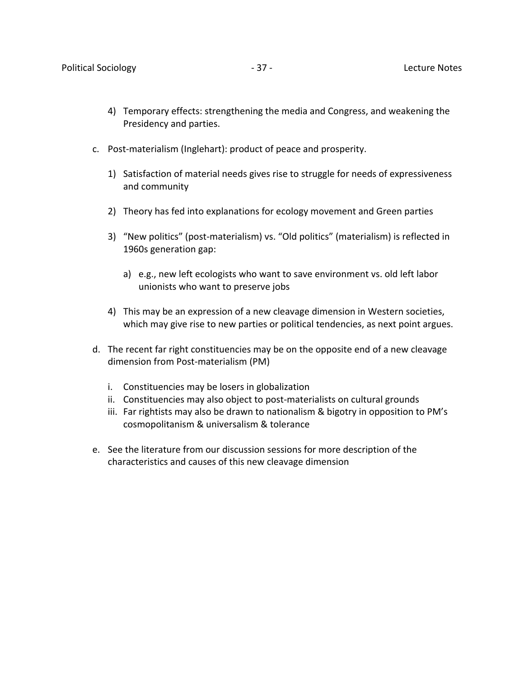- 4) Temporary effects: strengthening the media and Congress, and weakening the Presidency and parties.
- c. Post-materialism (Inglehart): product of peace and prosperity.
	- 1) Satisfaction of material needs gives rise to struggle for needs of expressiveness and community
	- 2) Theory has fed into explanations for ecology movement and Green parties
	- 3) "New politics" (post-materialism) vs. "Old politics" (materialism) is reflected in 1960s generation gap:
		- a) e.g., new left ecologists who want to save environment vs. old left labor unionists who want to preserve jobs
	- 4) This may be an expression of a new cleavage dimension in Western societies, which may give rise to new parties or political tendencies, as next point argues.
- d. The recent far right constituencies may be on the opposite end of a new cleavage dimension from Post-materialism (PM)
	- i. Constituencies may be losers in globalization
	- ii. Constituencies may also object to post-materialists on cultural grounds
	- iii. Far rightists may also be drawn to nationalism & bigotry in opposition to PM's cosmopolitanism & universalism & tolerance
- e. See the literature from our discussion sessions for more description of the characteristics and causes of this new cleavage dimension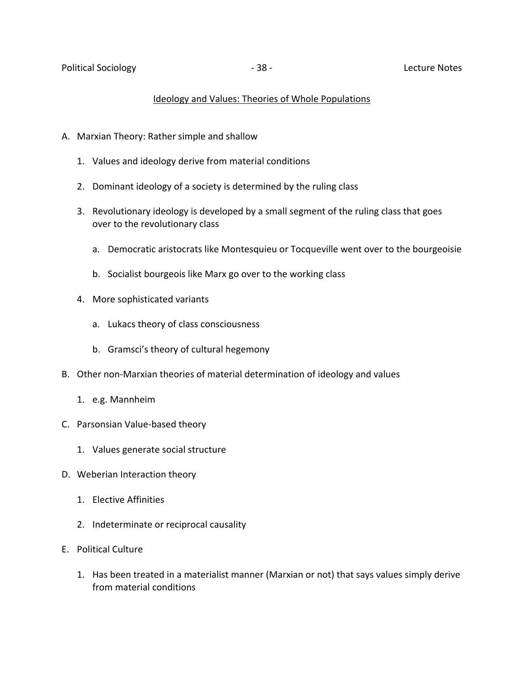#### Ideology and Values: Theories of Whole Populations

- A. Marxian Theory: Rather simple and shallow
	- 1. Values and ideology derive from material conditions
	- 2. Dominant ideology of a society is determined by the ruling class
	- 3. Revolutionary ideology is developed by a small segment of the ruling class that goes over to the revolutionary class
		- a. Democratic aristocrats like Montesquieu or Tocqueville went over to the bourgeoisie
		- b. Socialist bourgeois like Marx go over to the working class
	- 4. More sophisticated variants
		- a. Lukacs theory of class consciousness
		- b. Gramsci's theory of cultural hegemony
- B. Other non-Marxian theories of material determination of ideology and values
	- 1. e.g. Mannheim
- C. Parsonsian Value-based theory
	- 1. Values generate social structure
- D. Weberian Interaction theory
	- 1. Elective Affinities
	- 2. Indeterminate or reciprocal causality
- E. Political Culture
	- 1. Has been treated in a materialist manner (Marxian or not) that says values simply derive from material conditions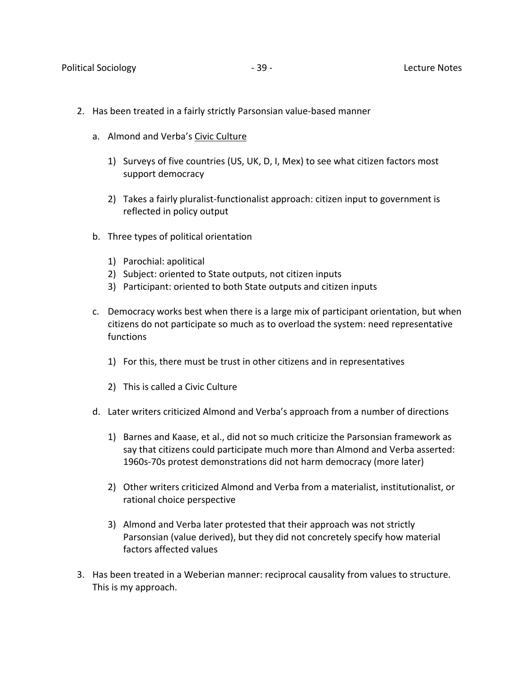- 2. Has been treated in a fairly strictly Parsonsian value-based manner
	- a. Almond and Verba's Civic Culture
		- 1) Surveys of five countries (US, UK, D, I, Mex) to see what citizen factors most support democracy
		- 2) Takes a fairly pluralist-functionalist approach: citizen input to government is reflected in policy output
	- b. Three types of political orientation
		- 1) Parochial: apolitical
		- 2) Subject: oriented to State outputs, not citizen inputs
		- 3) Participant: oriented to both State outputs and citizen inputs
	- c. Democracy works best when there is a large mix of participant orientation, but when citizens do not participate so much as to overload the system: need representative functions
		- 1) For this, there must be trust in other citizens and in representatives
		- 2) This is called a Civic Culture
	- d. Later writers criticized Almond and Verba's approach from a number of directions
		- 1) Barnes and Kaase, et al., did not so much criticize the Parsonsian framework as say that citizens could participate much more than Almond and Verba asserted: 1960s-70s protest demonstrations did not harm democracy (more later)
		- 2) Other writers criticized Almond and Verba from a materialist, institutionalist, or rational choice perspective
		- 3) Almond and Verba later protested that their approach was not strictly Parsonsian (value derived), but they did not concretely specify how material factors affected values
- 3. Has been treated in a Weberian manner: reciprocal causality from values to structure. This is my approach.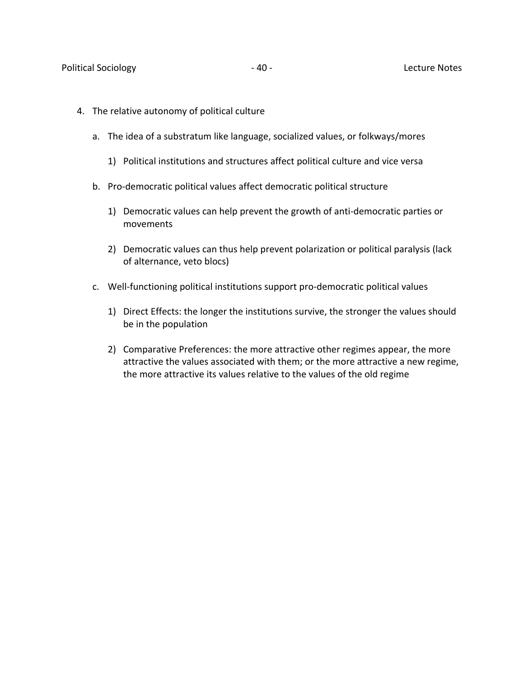- 4. The relative autonomy of political culture
	- a. The idea of a substratum like language, socialized values, or folkways/mores
		- 1) Political institutions and structures affect political culture and vice versa
	- b. Pro-democratic political values affect democratic political structure
		- 1) Democratic values can help prevent the growth of anti-democratic parties or movements
		- 2) Democratic values can thus help prevent polarization or political paralysis (lack of alternance, veto blocs)
	- c. Well-functioning political institutions support pro-democratic political values
		- 1) Direct Effects: the longer the institutions survive, the stronger the values should be in the population
		- 2) Comparative Preferences: the more attractive other regimes appear, the more attractive the values associated with them; or the more attractive a new regime, the more attractive its values relative to the values of the old regime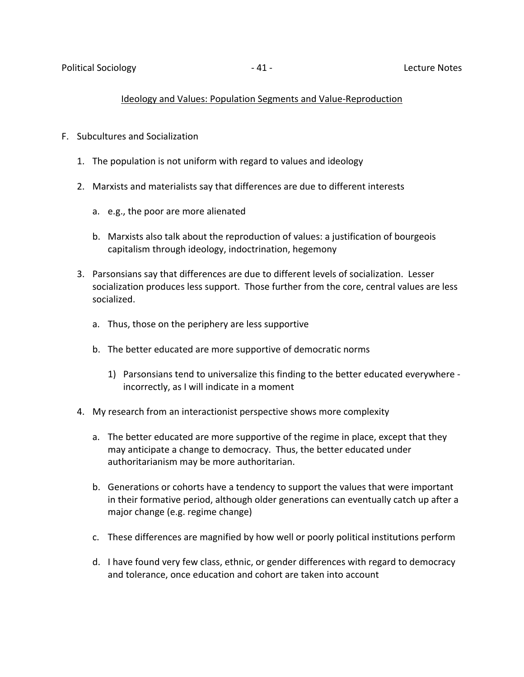## Ideology and Values: Population Segments and Value-Reproduction

- F. Subcultures and Socialization
	- 1. The population is not uniform with regard to values and ideology
	- 2. Marxists and materialists say that differences are due to different interests
		- a. e.g., the poor are more alienated
		- b. Marxists also talk about the reproduction of values: a justification of bourgeois capitalism through ideology, indoctrination, hegemony
	- 3. Parsonsians say that differences are due to different levels of socialization. Lesser socialization produces less support. Those further from the core, central values are less socialized.
		- a. Thus, those on the periphery are less supportive
		- b. The better educated are more supportive of democratic norms
			- 1) Parsonsians tend to universalize this finding to the better educated everywhere incorrectly, as I will indicate in a moment
	- 4. My research from an interactionist perspective shows more complexity
		- a. The better educated are more supportive of the regime in place, except that they may anticipate a change to democracy. Thus, the better educated under authoritarianism may be more authoritarian.
		- b. Generations or cohorts have a tendency to support the values that were important in their formative period, although older generations can eventually catch up after a major change (e.g. regime change)
		- c. These differences are magnified by how well or poorly political institutions perform
		- d. I have found very few class, ethnic, or gender differences with regard to democracy and tolerance, once education and cohort are taken into account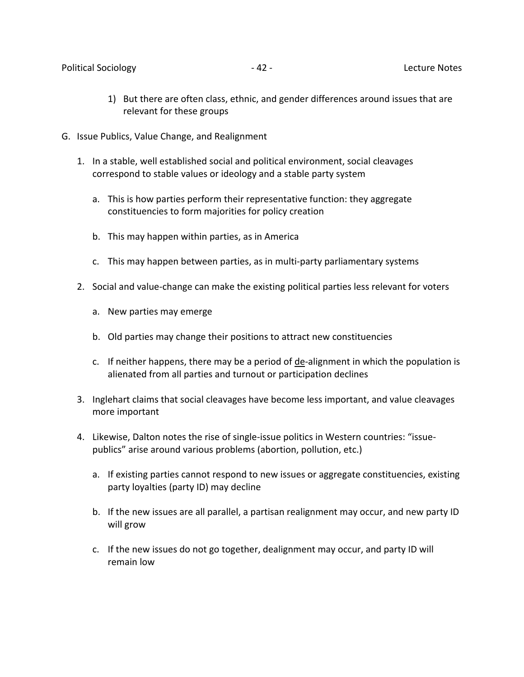- 1) But there are often class, ethnic, and gender differences around issues that are relevant for these groups
- G. Issue Publics, Value Change, and Realignment
	- 1. In a stable, well established social and political environment, social cleavages correspond to stable values or ideology and a stable party system
		- a. This is how parties perform their representative function: they aggregate constituencies to form majorities for policy creation
		- b. This may happen within parties, as in America
		- c. This may happen between parties, as in multi-party parliamentary systems
	- 2. Social and value-change can make the existing political parties less relevant for voters
		- a. New parties may emerge
		- b. Old parties may change their positions to attract new constituencies
		- c. If neither happens, there may be a period of de-alignment in which the population is alienated from all parties and turnout or participation declines
	- 3. Inglehart claims that social cleavages have become less important, and value cleavages more important
	- 4. Likewise, Dalton notes the rise of single-issue politics in Western countries: "issuepublics" arise around various problems (abortion, pollution, etc.)
		- a. If existing parties cannot respond to new issues or aggregate constituencies, existing party loyalties (party ID) may decline
		- b. If the new issues are all parallel, a partisan realignment may occur, and new party ID will grow
		- c. If the new issues do not go together, dealignment may occur, and party ID will remain low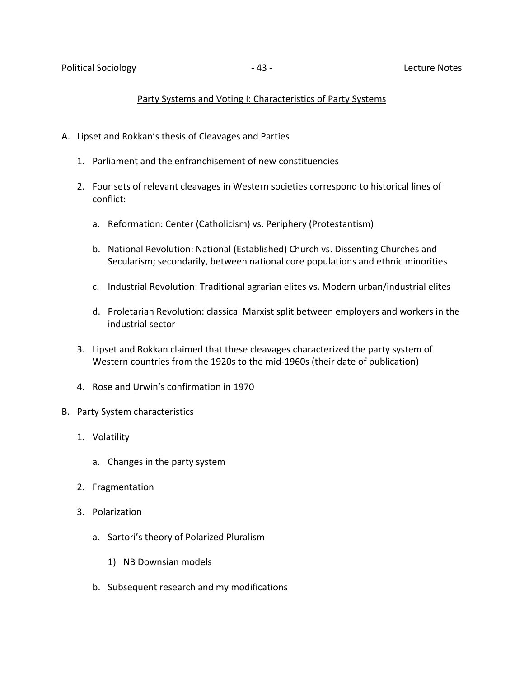#### Party Systems and Voting I: Characteristics of Party Systems

- A. Lipset and Rokkan's thesis of Cleavages and Parties
	- 1. Parliament and the enfranchisement of new constituencies
	- 2. Four sets of relevant cleavages in Western societies correspond to historical lines of conflict:
		- a. Reformation: Center (Catholicism) vs. Periphery (Protestantism)
		- b. National Revolution: National (Established) Church vs. Dissenting Churches and Secularism; secondarily, between national core populations and ethnic minorities
		- c. Industrial Revolution: Traditional agrarian elites vs. Modern urban/industrial elites
		- d. Proletarian Revolution: classical Marxist split between employers and workers in the industrial sector
	- 3. Lipset and Rokkan claimed that these cleavages characterized the party system of Western countries from the 1920s to the mid-1960s (their date of publication)
	- 4. Rose and Urwin's confirmation in 1970
- B. Party System characteristics
	- 1. Volatility
		- a. Changes in the party system
	- 2. Fragmentation
	- 3. Polarization
		- a. Sartori's theory of Polarized Pluralism
			- 1) NB Downsian models
		- b. Subsequent research and my modifications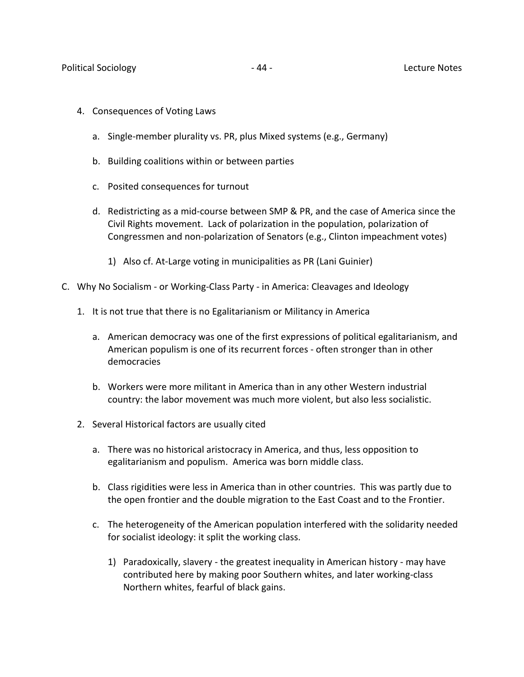- 4. Consequences of Voting Laws
	- a. Single-member plurality vs. PR, plus Mixed systems (e.g., Germany)
	- b. Building coalitions within or between parties
	- c. Posited consequences for turnout
	- d. Redistricting as a mid-course between SMP & PR, and the case of America since the Civil Rights movement. Lack of polarization in the population, polarization of Congressmen and non-polarization of Senators (e.g., Clinton impeachment votes)
		- 1) Also cf. At-Large voting in municipalities as PR (Lani Guinier)
- C. Why No Socialism or Working-Class Party in America: Cleavages and Ideology
	- 1. It is not true that there is no Egalitarianism or Militancy in America
		- a. American democracy was one of the first expressions of political egalitarianism, and American populism is one of its recurrent forces - often stronger than in other democracies
		- b. Workers were more militant in America than in any other Western industrial country: the labor movement was much more violent, but also less socialistic.
	- 2. Several Historical factors are usually cited
		- a. There was no historical aristocracy in America, and thus, less opposition to egalitarianism and populism. America was born middle class.
		- b. Class rigidities were less in America than in other countries. This was partly due to the open frontier and the double migration to the East Coast and to the Frontier.
		- c. The heterogeneity of the American population interfered with the solidarity needed for socialist ideology: it split the working class.
			- 1) Paradoxically, slavery the greatest inequality in American history may have contributed here by making poor Southern whites, and later working-class Northern whites, fearful of black gains.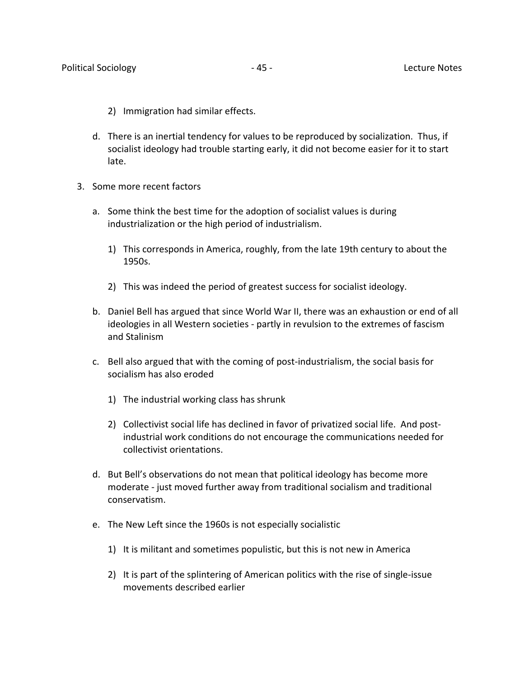- 2) Immigration had similar effects.
- d. There is an inertial tendency for values to be reproduced by socialization. Thus, if socialist ideology had trouble starting early, it did not become easier for it to start late.
- 3. Some more recent factors
	- a. Some think the best time for the adoption of socialist values is during industrialization or the high period of industrialism.
		- 1) This corresponds in America, roughly, from the late 19th century to about the 1950s.
		- 2) This was indeed the period of greatest success for socialist ideology.
	- b. Daniel Bell has argued that since World War II, there was an exhaustion or end of all ideologies in all Western societies - partly in revulsion to the extremes of fascism and Stalinism
	- c. Bell also argued that with the coming of post-industrialism, the social basis for socialism has also eroded
		- 1) The industrial working class has shrunk
		- 2) Collectivist social life has declined in favor of privatized social life. And postindustrial work conditions do not encourage the communications needed for collectivist orientations.
	- d. But Bell's observations do not mean that political ideology has become more moderate - just moved further away from traditional socialism and traditional conservatism.
	- e. The New Left since the 1960s is not especially socialistic
		- 1) It is militant and sometimes populistic, but this is not new in America
		- 2) It is part of the splintering of American politics with the rise of single-issue movements described earlier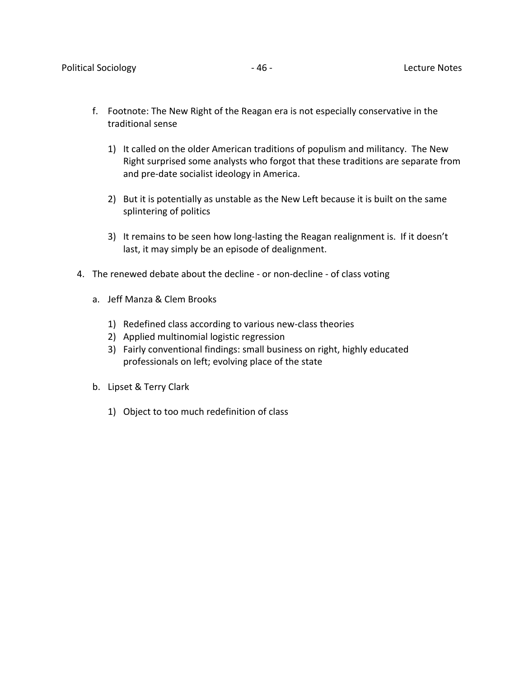- f. Footnote: The New Right of the Reagan era is not especially conservative in the traditional sense
	- 1) It called on the older American traditions of populism and militancy. The New Right surprised some analysts who forgot that these traditions are separate from and pre-date socialist ideology in America.
	- 2) But it is potentially as unstable as the New Left because it is built on the same splintering of politics
	- 3) It remains to be seen how long-lasting the Reagan realignment is. If it doesn't last, it may simply be an episode of dealignment.
- 4. The renewed debate about the decline or non-decline of class voting
	- a. Jeff Manza & Clem Brooks
		- 1) Redefined class according to various new-class theories
		- 2) Applied multinomial logistic regression
		- 3) Fairly conventional findings: small business on right, highly educated professionals on left; evolving place of the state
	- b. Lipset & Terry Clark
		- 1) Object to too much redefinition of class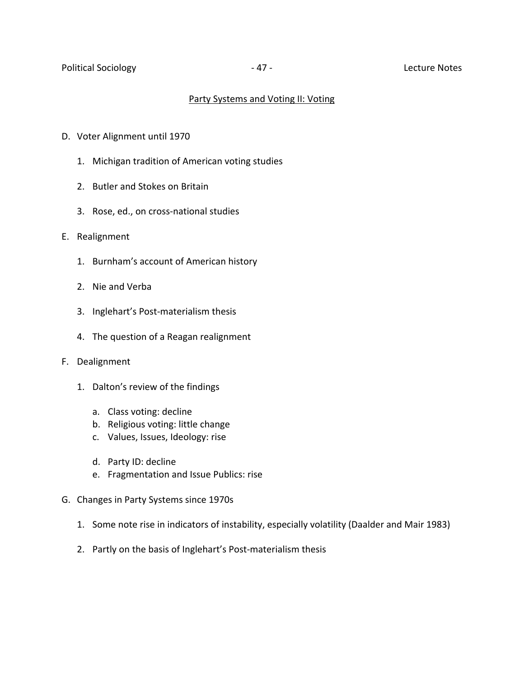#### Party Systems and Voting II: Voting

- D. Voter Alignment until 1970
	- 1. Michigan tradition of American voting studies
	- 2. Butler and Stokes on Britain
	- 3. Rose, ed., on cross-national studies
- E. Realignment
	- 1. Burnham's account of American history
	- 2. Nie and Verba
	- 3. Inglehart's Post-materialism thesis
	- 4. The question of a Reagan realignment
- F. Dealignment
	- 1. Dalton's review of the findings
		- a. Class voting: decline
		- b. Religious voting: little change
		- c. Values, Issues, Ideology: rise
		- d. Party ID: decline
		- e. Fragmentation and Issue Publics: rise
- G. Changes in Party Systems since 1970s
	- 1. Some note rise in indicators of instability, especially volatility (Daalder and Mair 1983)
	- 2. Partly on the basis of Inglehart's Post-materialism thesis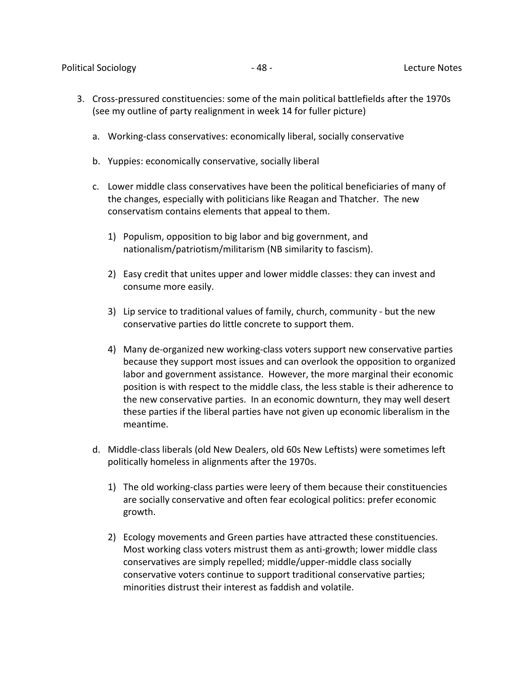- 3. Cross-pressured constituencies: some of the main political battlefields after the 1970s (see my outline of party realignment in week 14 for fuller picture)
	- a. Working-class conservatives: economically liberal, socially conservative
	- b. Yuppies: economically conservative, socially liberal
	- c. Lower middle class conservatives have been the political beneficiaries of many of the changes, especially with politicians like Reagan and Thatcher. The new conservatism contains elements that appeal to them.
		- 1) Populism, opposition to big labor and big government, and nationalism/patriotism/militarism (NB similarity to fascism).
		- 2) Easy credit that unites upper and lower middle classes: they can invest and consume more easily.
		- 3) Lip service to traditional values of family, church, community but the new conservative parties do little concrete to support them.
		- 4) Many de-organized new working-class voters support new conservative parties because they support most issues and can overlook the opposition to organized labor and government assistance. However, the more marginal their economic position is with respect to the middle class, the less stable is their adherence to the new conservative parties. In an economic downturn, they may well desert these parties if the liberal parties have not given up economic liberalism in the meantime.
	- d. Middle-class liberals (old New Dealers, old 60s New Leftists) were sometimes left politically homeless in alignments after the 1970s.
		- 1) The old working-class parties were leery of them because their constituencies are socially conservative and often fear ecological politics: prefer economic growth.
		- 2) Ecology movements and Green parties have attracted these constituencies. Most working class voters mistrust them as anti-growth; lower middle class conservatives are simply repelled; middle/upper-middle class socially conservative voters continue to support traditional conservative parties; minorities distrust their interest as faddish and volatile.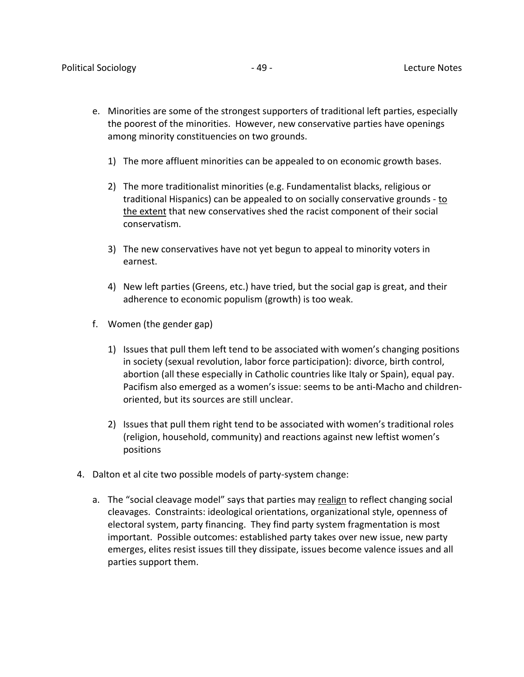- e. Minorities are some of the strongest supporters of traditional left parties, especially the poorest of the minorities. However, new conservative parties have openings among minority constituencies on two grounds.
	- 1) The more affluent minorities can be appealed to on economic growth bases.
	- 2) The more traditionalist minorities (e.g. Fundamentalist blacks, religious or traditional Hispanics) can be appealed to on socially conservative grounds - to the extent that new conservatives shed the racist component of their social conservatism.
	- 3) The new conservatives have not yet begun to appeal to minority voters in earnest.
	- 4) New left parties (Greens, etc.) have tried, but the social gap is great, and their adherence to economic populism (growth) is too weak.
- f. Women (the gender gap)
	- 1) Issues that pull them left tend to be associated with women's changing positions in society (sexual revolution, labor force participation): divorce, birth control, abortion (all these especially in Catholic countries like Italy or Spain), equal pay. Pacifism also emerged as a women's issue: seems to be anti-Macho and childrenoriented, but its sources are still unclear.
	- 2) Issues that pull them right tend to be associated with women's traditional roles (religion, household, community) and reactions against new leftist women's positions
- 4. Dalton et al cite two possible models of party-system change:
	- a. The "social cleavage model" says that parties may realign to reflect changing social cleavages. Constraints: ideological orientations, organizational style, openness of electoral system, party financing. They find party system fragmentation is most important. Possible outcomes: established party takes over new issue, new party emerges, elites resist issues till they dissipate, issues become valence issues and all parties support them.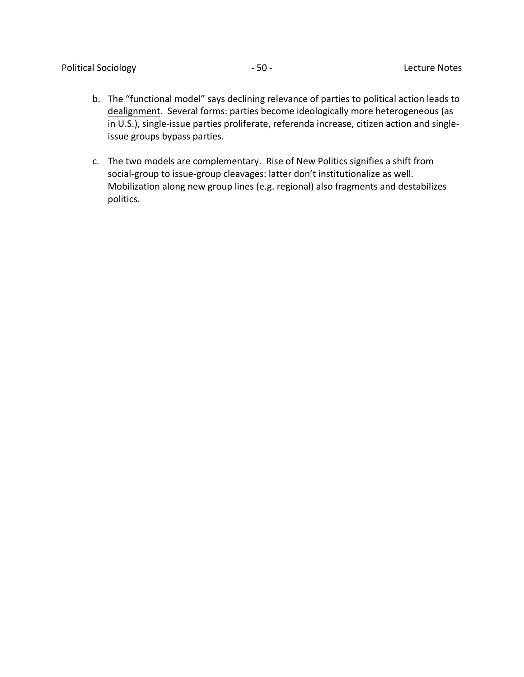- b. The "functional model" says declining relevance of parties to political action leads to dealignment. Several forms: parties become ideologically more heterogeneous (as in U.S.), single-issue parties proliferate, referenda increase, citizen action and singleissue groups bypass parties.
- c. The two models are complementary. Rise of New Politics signifies a shift from social-group to issue-group cleavages: latter don't institutionalize as well. Mobilization along new group lines (e.g. regional) also fragments and destabilizes politics.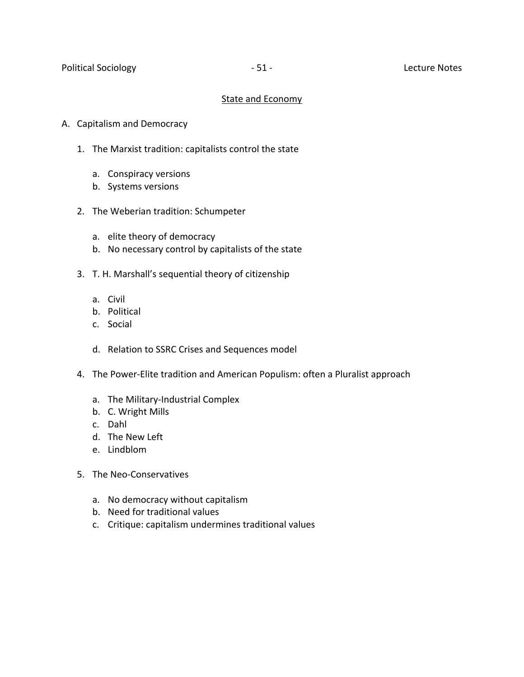## State and Economy

- A. Capitalism and Democracy
	- 1. The Marxist tradition: capitalists control the state
		- a. Conspiracy versions
		- b. Systems versions
	- 2. The Weberian tradition: Schumpeter
		- a. elite theory of democracy
		- b. No necessary control by capitalists of the state
	- 3. T. H. Marshall's sequential theory of citizenship
		- a. Civil
		- b. Political
		- c. Social
		- d. Relation to SSRC Crises and Sequences model
	- 4. The Power-Elite tradition and American Populism: often a Pluralist approach
		- a. The Military-Industrial Complex
		- b. C. Wright Mills
		- c. Dahl
		- d. The New Left
		- e. Lindblom
	- 5. The Neo-Conservatives
		- a. No democracy without capitalism
		- b. Need for traditional values
		- c. Critique: capitalism undermines traditional values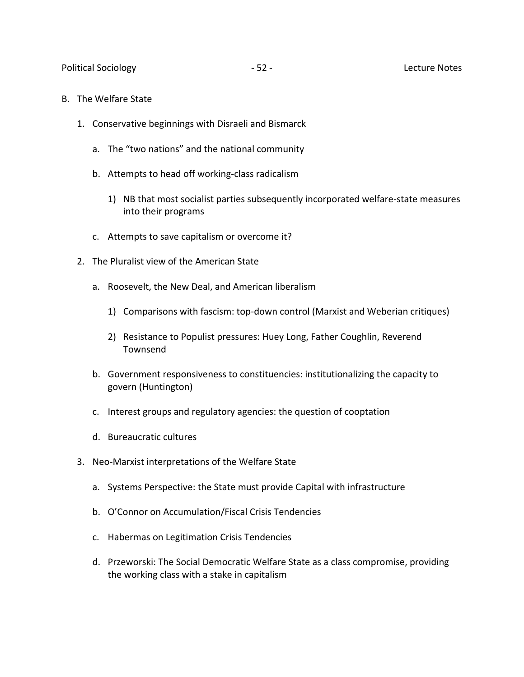- B. The Welfare State
	- 1. Conservative beginnings with Disraeli and Bismarck
		- a. The "two nations" and the national community
		- b. Attempts to head off working-class radicalism
			- 1) NB that most socialist parties subsequently incorporated welfare-state measures into their programs
		- c. Attempts to save capitalism or overcome it?
	- 2. The Pluralist view of the American State
		- a. Roosevelt, the New Deal, and American liberalism
			- 1) Comparisons with fascism: top-down control (Marxist and Weberian critiques)
			- 2) Resistance to Populist pressures: Huey Long, Father Coughlin, Reverend Townsend
		- b. Government responsiveness to constituencies: institutionalizing the capacity to govern (Huntington)
		- c. Interest groups and regulatory agencies: the question of cooptation
		- d. Bureaucratic cultures
	- 3. Neo-Marxist interpretations of the Welfare State
		- a. Systems Perspective: the State must provide Capital with infrastructure
		- b. O'Connor on Accumulation/Fiscal Crisis Tendencies
		- c. Habermas on Legitimation Crisis Tendencies
		- d. Przeworski: The Social Democratic Welfare State as a class compromise, providing the working class with a stake in capitalism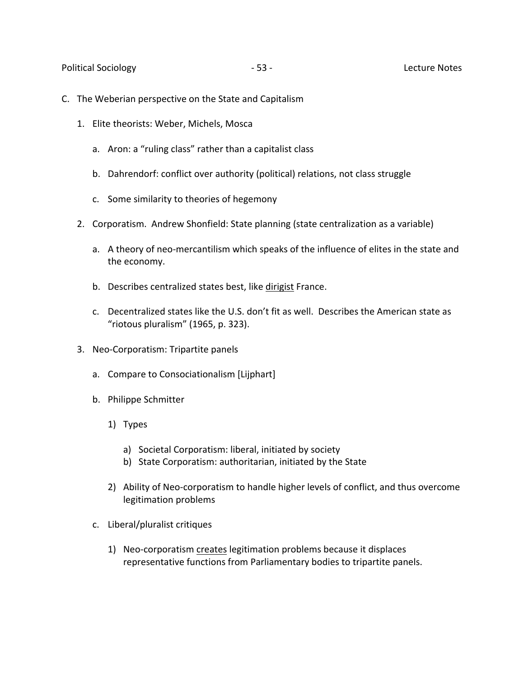- C. The Weberian perspective on the State and Capitalism
	- 1. Elite theorists: Weber, Michels, Mosca
		- a. Aron: a "ruling class" rather than a capitalist class
		- b. Dahrendorf: conflict over authority (political) relations, not class struggle
		- c. Some similarity to theories of hegemony
	- 2. Corporatism. Andrew Shonfield: State planning (state centralization as a variable)
		- a. A theory of neo-mercantilism which speaks of the influence of elites in the state and the economy.
		- b. Describes centralized states best, like dirigist France.
		- c. Decentralized states like the U.S. don't fit as well. Describes the American state as "riotous pluralism" (1965, p. 323).
	- 3. Neo-Corporatism: Tripartite panels
		- a. Compare to Consociationalism [Lijphart]
		- b. Philippe Schmitter
			- 1) Types
				- a) Societal Corporatism: liberal, initiated by society
				- b) State Corporatism: authoritarian, initiated by the State
			- 2) Ability of Neo-corporatism to handle higher levels of conflict, and thus overcome legitimation problems
		- c. Liberal/pluralist critiques
			- 1) Neo-corporatism creates legitimation problems because it displaces representative functions from Parliamentary bodies to tripartite panels.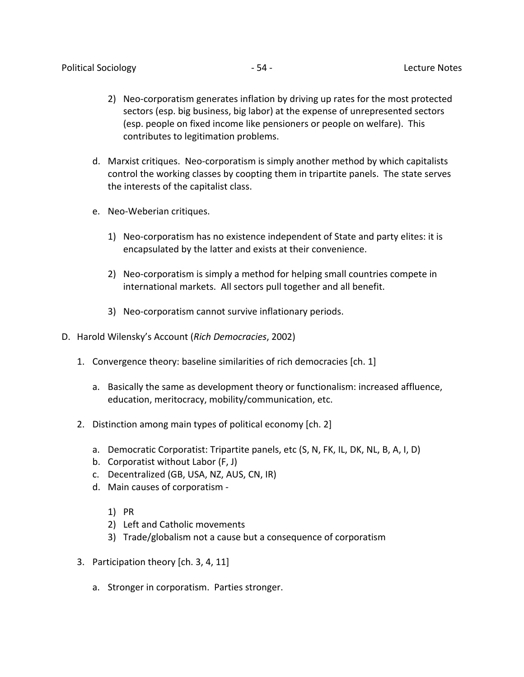- 2) Neo-corporatism generates inflation by driving up rates for the most protected sectors (esp. big business, big labor) at the expense of unrepresented sectors (esp. people on fixed income like pensioners or people on welfare). This contributes to legitimation problems.
- d. Marxist critiques. Neo-corporatism is simply another method by which capitalists control the working classes by coopting them in tripartite panels. The state serves the interests of the capitalist class.
- e. Neo-Weberian critiques.
	- 1) Neo-corporatism has no existence independent of State and party elites: it is encapsulated by the latter and exists at their convenience.
	- 2) Neo-corporatism is simply a method for helping small countries compete in international markets. All sectors pull together and all benefit.
	- 3) Neo-corporatism cannot survive inflationary periods.
- D. Harold Wilensky's Account (*Rich Democracies*, 2002)
	- 1. Convergence theory: baseline similarities of rich democracies [ch. 1]
		- a. Basically the same as development theory or functionalism: increased affluence, education, meritocracy, mobility/communication, etc.
	- 2. Distinction among main types of political economy [ch. 2]
		- a. Democratic Corporatist: Tripartite panels, etc (S, N, FK, IL, DK, NL, B, A, I, D)
		- b. Corporatist without Labor (F, J)
		- c. Decentralized (GB, USA, NZ, AUS, CN, IR)
		- d. Main causes of corporatism
			- 1) PR
			- 2) Left and Catholic movements
			- 3) Trade/globalism not a cause but a consequence of corporatism
	- 3. Participation theory [ch. 3, 4, 11]
		- a. Stronger in corporatism. Parties stronger.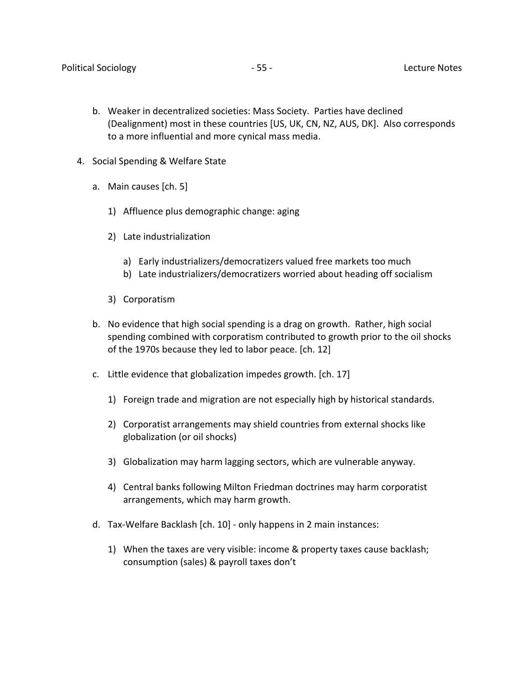- b. Weaker in decentralized societies: Mass Society. Parties have declined (Dealignment) most in these countries [US, UK, CN, NZ, AUS, DK]. Also corresponds to a more influential and more cynical mass media.
- 4. Social Spending & Welfare State
	- a. Main causes [ch. 5]
		- 1) Affluence plus demographic change: aging
		- 2) Late industrialization
			- a) Early industrializers/democratizers valued free markets too much
			- b) Late industrializers/democratizers worried about heading off socialism
		- 3) Corporatism
	- b. No evidence that high social spending is a drag on growth. Rather, high social spending combined with corporatism contributed to growth prior to the oil shocks of the 1970s because they led to labor peace. [ch. 12]
	- c. Little evidence that globalization impedes growth. [ch. 17]
		- 1) Foreign trade and migration are not especially high by historical standards.
		- 2) Corporatist arrangements may shield countries from external shocks like globalization (or oil shocks)
		- 3) Globalization may harm lagging sectors, which are vulnerable anyway.
		- 4) Central banks following Milton Friedman doctrines may harm corporatist arrangements, which may harm growth.
	- d. Tax-Welfare Backlash [ch. 10] only happens in 2 main instances:
		- 1) When the taxes are very visible: income & property taxes cause backlash; consumption (sales) & payroll taxes don't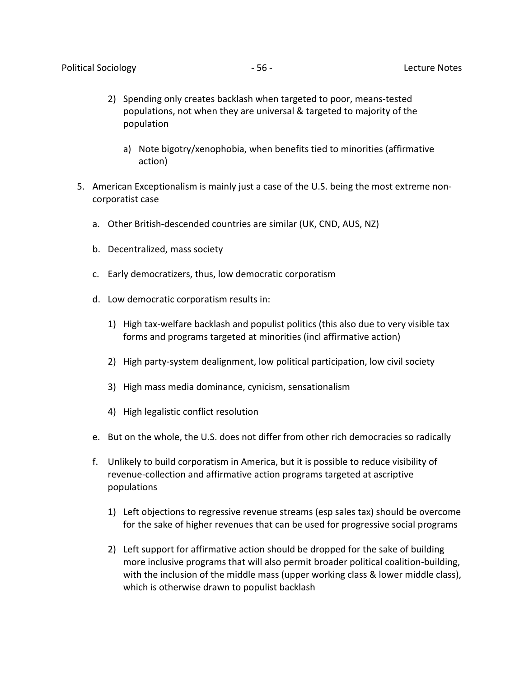- 2) Spending only creates backlash when targeted to poor, means-tested populations, not when they are universal & targeted to majority of the population
	- a) Note bigotry/xenophobia, when benefits tied to minorities (affirmative action)
- 5. American Exceptionalism is mainly just a case of the U.S. being the most extreme noncorporatist case
	- a. Other British-descended countries are similar (UK, CND, AUS, NZ)
	- b. Decentralized, mass society
	- c. Early democratizers, thus, low democratic corporatism
	- d. Low democratic corporatism results in:
		- 1) High tax-welfare backlash and populist politics (this also due to very visible tax forms and programs targeted at minorities (incl affirmative action)
		- 2) High party-system dealignment, low political participation, low civil society
		- 3) High mass media dominance, cynicism, sensationalism
		- 4) High legalistic conflict resolution
	- e. But on the whole, the U.S. does not differ from other rich democracies so radically
	- f. Unlikely to build corporatism in America, but it is possible to reduce visibility of revenue-collection and affirmative action programs targeted at ascriptive populations
		- 1) Left objections to regressive revenue streams (esp sales tax) should be overcome for the sake of higher revenues that can be used for progressive social programs
		- 2) Left support for affirmative action should be dropped for the sake of building more inclusive programs that will also permit broader political coalition-building, with the inclusion of the middle mass (upper working class & lower middle class), which is otherwise drawn to populist backlash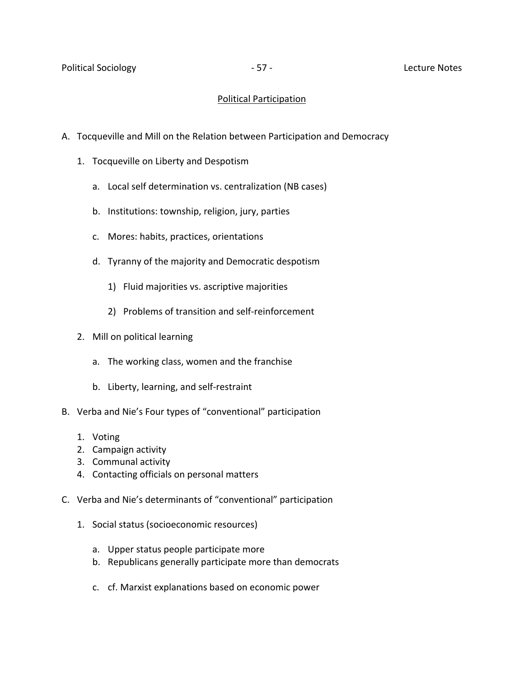## Political Participation

- A. Tocqueville and Mill on the Relation between Participation and Democracy
	- 1. Tocqueville on Liberty and Despotism
		- a. Local self determination vs. centralization (NB cases)
		- b. Institutions: township, religion, jury, parties
		- c. Mores: habits, practices, orientations
		- d. Tyranny of the majority and Democratic despotism
			- 1) Fluid majorities vs. ascriptive majorities
			- 2) Problems of transition and self-reinforcement
	- 2. Mill on political learning
		- a. The working class, women and the franchise
		- b. Liberty, learning, and self-restraint
- B. Verba and Nie's Four types of "conventional" participation
	- 1. Voting
	- 2. Campaign activity
	- 3. Communal activity
	- 4. Contacting officials on personal matters
- C. Verba and Nie's determinants of "conventional" participation
	- 1. Social status (socioeconomic resources)
		- a. Upper status people participate more
		- b. Republicans generally participate more than democrats
		- c. cf. Marxist explanations based on economic power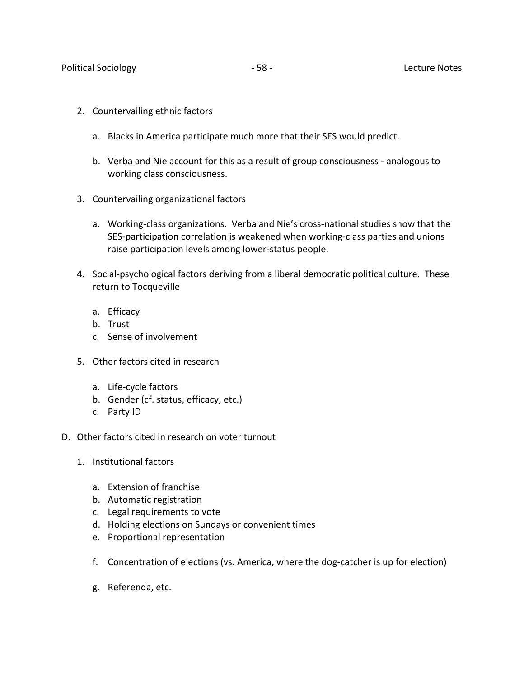- 2. Countervailing ethnic factors
	- a. Blacks in America participate much more that their SES would predict.
	- b. Verba and Nie account for this as a result of group consciousness analogous to working class consciousness.
- 3. Countervailing organizational factors
	- a. Working-class organizations. Verba and Nie's cross-national studies show that the SES-participation correlation is weakened when working-class parties and unions raise participation levels among lower-status people.
- 4. Social-psychological factors deriving from a liberal democratic political culture. These return to Tocqueville
	- a. Efficacy
	- b. Trust
	- c. Sense of involvement
- 5. Other factors cited in research
	- a. Life-cycle factors
	- b. Gender (cf. status, efficacy, etc.)
	- c. Party ID
- D. Other factors cited in research on voter turnout
	- 1. Institutional factors
		- a. Extension of franchise
		- b. Automatic registration
		- c. Legal requirements to vote
		- d. Holding elections on Sundays or convenient times
		- e. Proportional representation
		- f. Concentration of elections (vs. America, where the dog-catcher is up for election)
		- g. Referenda, etc.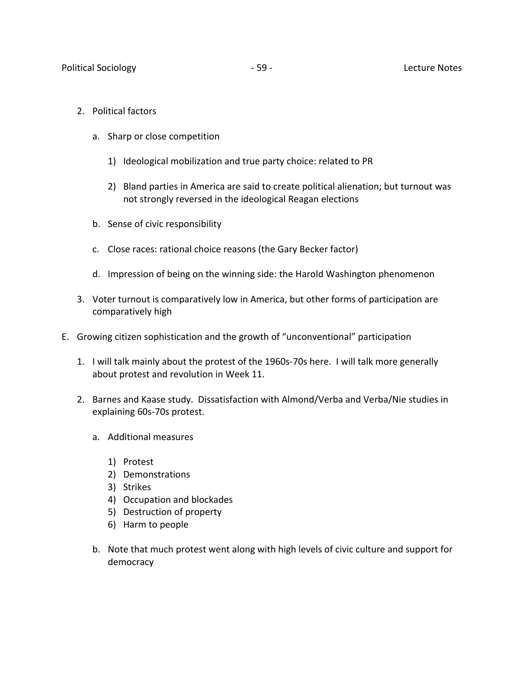- 2. Political factors
	- a. Sharp or close competition
		- 1) Ideological mobilization and true party choice: related to PR
		- 2) Bland parties in America are said to create political alienation; but turnout was not strongly reversed in the ideological Reagan elections
	- b. Sense of civic responsibility
	- c. Close races: rational choice reasons (the Gary Becker factor)
	- d. Impression of being on the winning side: the Harold Washington phenomenon
- 3. Voter turnout is comparatively low in America, but other forms of participation are comparatively high
- E. Growing citizen sophistication and the growth of "unconventional" participation
	- 1. I will talk mainly about the protest of the 1960s-70s here. I will talk more generally about protest and revolution in Week 11.
	- 2. Barnes and Kaase study. Dissatisfaction with Almond/Verba and Verba/Nie studies in explaining 60s-70s protest.
		- a. Additional measures
			- 1) Protest
			- 2) Demonstrations
			- 3) Strikes
			- 4) Occupation and blockades
			- 5) Destruction of property
			- 6) Harm to people
		- b. Note that much protest went along with high levels of civic culture and support for democracy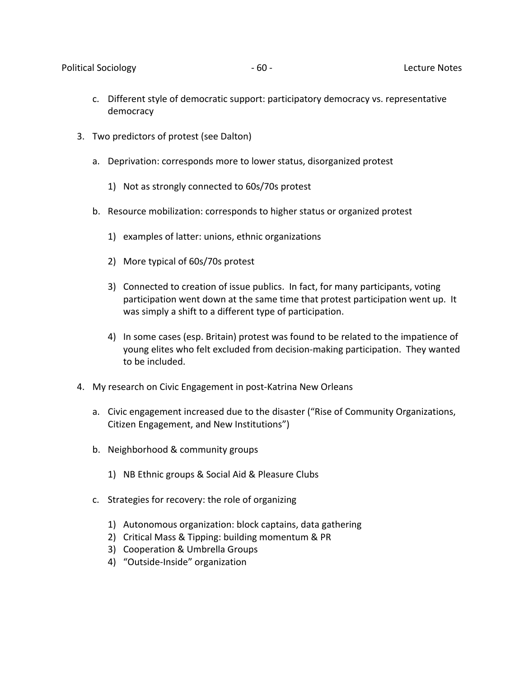- c. Different style of democratic support: participatory democracy vs. representative democracy
- 3. Two predictors of protest (see Dalton)
	- a. Deprivation: corresponds more to lower status, disorganized protest
		- 1) Not as strongly connected to 60s/70s protest
	- b. Resource mobilization: corresponds to higher status or organized protest
		- 1) examples of latter: unions, ethnic organizations
		- 2) More typical of 60s/70s protest
		- 3) Connected to creation of issue publics. In fact, for many participants, voting participation went down at the same time that protest participation went up. It was simply a shift to a different type of participation.
		- 4) In some cases (esp. Britain) protest was found to be related to the impatience of young elites who felt excluded from decision-making participation. They wanted to be included.
- 4. My research on Civic Engagement in post-Katrina New Orleans
	- a. Civic engagement increased due to the disaster ("Rise of Community Organizations, Citizen Engagement, and New Institutions")
	- b. Neighborhood & community groups
		- 1) NB Ethnic groups & Social Aid & Pleasure Clubs
	- c. Strategies for recovery: the role of organizing
		- 1) Autonomous organization: block captains, data gathering
		- 2) Critical Mass & Tipping: building momentum & PR
		- 3) Cooperation & Umbrella Groups
		- 4) "Outside-Inside" organization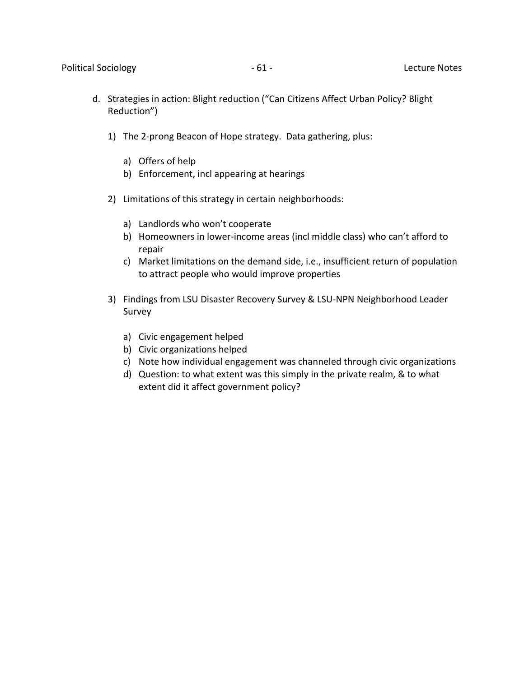- d. Strategies in action: Blight reduction ("Can Citizens Affect Urban Policy? Blight Reduction")
	- 1) The 2-prong Beacon of Hope strategy. Data gathering, plus:
		- a) Offers of help
		- b) Enforcement, incl appearing at hearings
	- 2) Limitations of this strategy in certain neighborhoods:
		- a) Landlords who won't cooperate
		- b) Homeowners in lower-income areas (incl middle class) who can't afford to repair
		- c) Market limitations on the demand side, i.e., insufficient return of population to attract people who would improve properties
	- 3) Findings from LSU Disaster Recovery Survey & LSU-NPN Neighborhood Leader Survey
		- a) Civic engagement helped
		- b) Civic organizations helped
		- c) Note how individual engagement was channeled through civic organizations
		- d) Question: to what extent was this simply in the private realm, & to what extent did it affect government policy?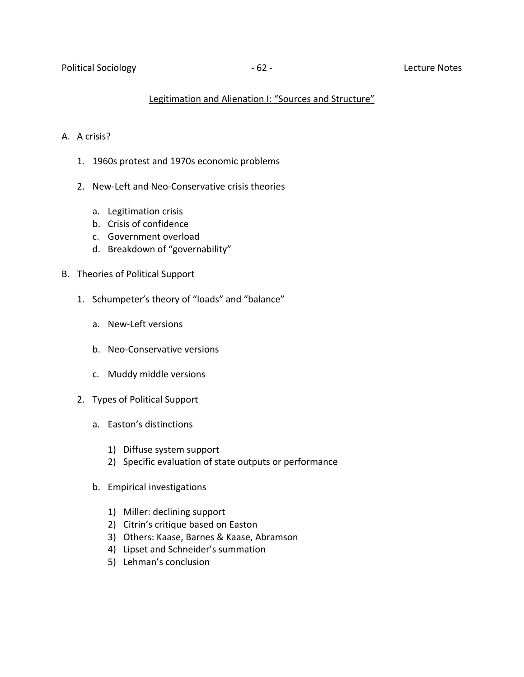## Legitimation and Alienation I: "Sources and Structure"

## A. A crisis?

- 1. 1960s protest and 1970s economic problems
- 2. New-Left and Neo-Conservative crisis theories
	- a. Legitimation crisis
	- b. Crisis of confidence
	- c. Government overload
	- d. Breakdown of "governability"
- B. Theories of Political Support
	- 1. Schumpeter's theory of "loads" and "balance"
		- a. New-Left versions
		- b. Neo-Conservative versions
		- c. Muddy middle versions
	- 2. Types of Political Support
		- a. Easton's distinctions
			- 1) Diffuse system support
			- 2) Specific evaluation of state outputs or performance
		- b. Empirical investigations
			- 1) Miller: declining support
			- 2) Citrin's critique based on Easton
			- 3) Others: Kaase, Barnes & Kaase, Abramson
			- 4) Lipset and Schneider's summation
			- 5) Lehman's conclusion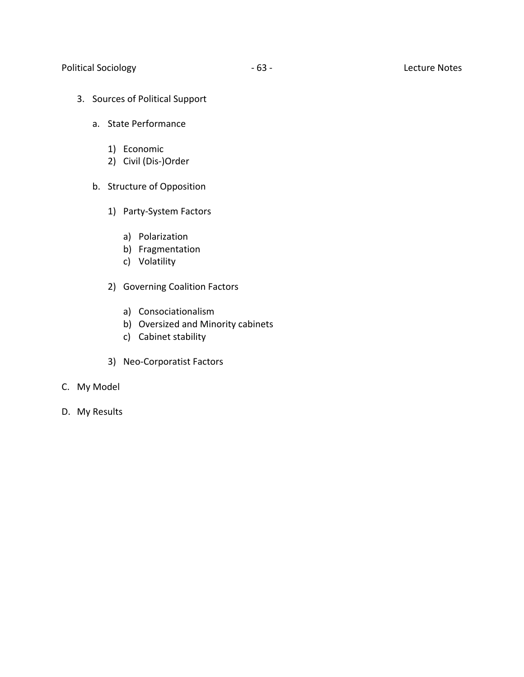## Political Sociology **According to According the COVID-01-** 63 - Lecture Notes

- 3. Sources of Political Support
	- a. State Performance
		- 1) Economic
		- 2) Civil (Dis-)Order
	- b. Structure of Opposition
		- 1) Party-System Factors
			- a) Polarization
			- b) Fragmentation
			- c) Volatility
		- 2) Governing Coalition Factors
			- a) Consociationalism
			- b) Oversized and Minority cabinets
			- c) Cabinet stability
		- 3) Neo-Corporatist Factors
- C. My Model
- D. My Results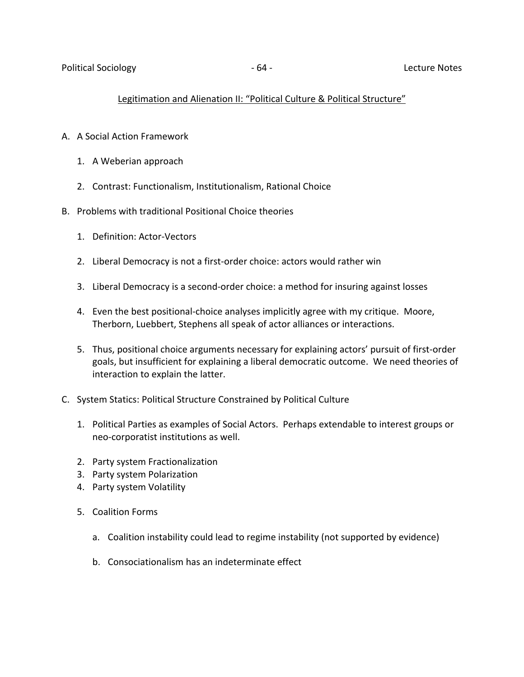# Legitimation and Alienation II: "Political Culture & Political Structure"

- A. A Social Action Framework
	- 1. A Weberian approach
	- 2. Contrast: Functionalism, Institutionalism, Rational Choice
- B. Problems with traditional Positional Choice theories
	- 1. Definition: Actor-Vectors
	- 2. Liberal Democracy is not a first-order choice: actors would rather win
	- 3. Liberal Democracy is a second-order choice: a method for insuring against losses
	- 4. Even the best positional-choice analyses implicitly agree with my critique. Moore, Therborn, Luebbert, Stephens all speak of actor alliances or interactions.
	- 5. Thus, positional choice arguments necessary for explaining actors' pursuit of first-order goals, but insufficient for explaining a liberal democratic outcome. We need theories of interaction to explain the latter.
- C. System Statics: Political Structure Constrained by Political Culture
	- 1. Political Parties as examples of Social Actors. Perhaps extendable to interest groups or neo-corporatist institutions as well.
	- 2. Party system Fractionalization
	- 3. Party system Polarization
	- 4. Party system Volatility
	- 5. Coalition Forms
		- a. Coalition instability could lead to regime instability (not supported by evidence)
		- b. Consociationalism has an indeterminate effect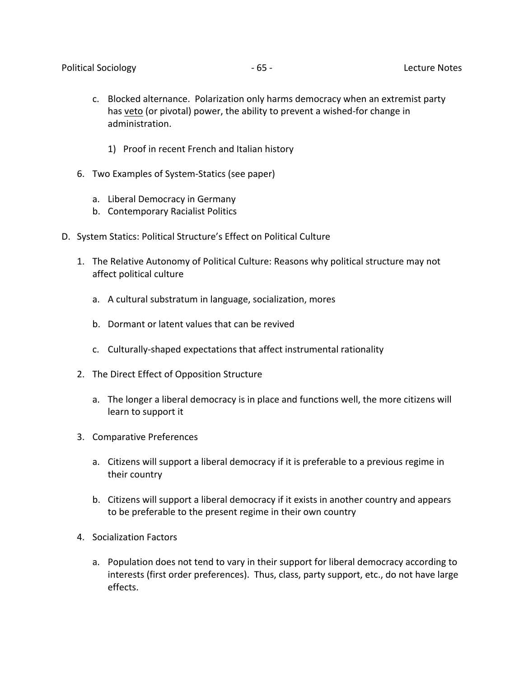- c. Blocked alternance. Polarization only harms democracy when an extremist party has veto (or pivotal) power, the ability to prevent a wished-for change in administration.
	- 1) Proof in recent French and Italian history
- 6. Two Examples of System-Statics (see paper)
	- a. Liberal Democracy in Germany
	- b. Contemporary Racialist Politics
- D. System Statics: Political Structure's Effect on Political Culture
	- 1. The Relative Autonomy of Political Culture: Reasons why political structure may not affect political culture
		- a. A cultural substratum in language, socialization, mores
		- b. Dormant or latent values that can be revived
		- c. Culturally-shaped expectations that affect instrumental rationality
	- 2. The Direct Effect of Opposition Structure
		- a. The longer a liberal democracy is in place and functions well, the more citizens will learn to support it
	- 3. Comparative Preferences
		- a. Citizens will support a liberal democracy if it is preferable to a previous regime in their country
		- b. Citizens will support a liberal democracy if it exists in another country and appears to be preferable to the present regime in their own country
	- 4. Socialization Factors
		- a. Population does not tend to vary in their support for liberal democracy according to interests (first order preferences). Thus, class, party support, etc., do not have large effects.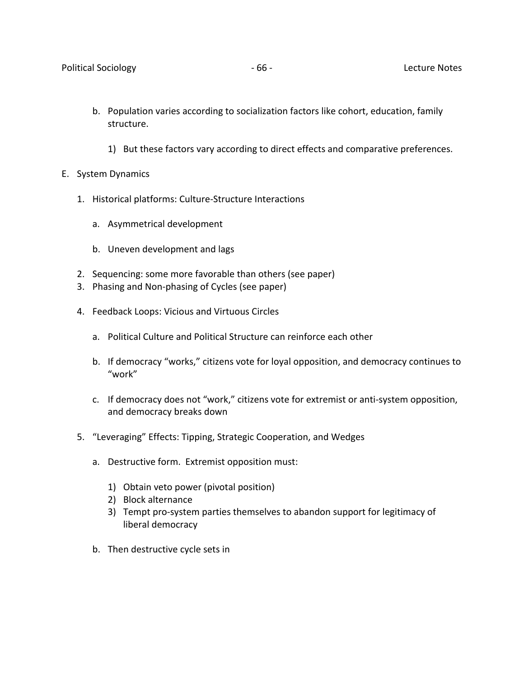- b. Population varies according to socialization factors like cohort, education, family structure.
	- 1) But these factors vary according to direct effects and comparative preferences.
- E. System Dynamics
	- 1. Historical platforms: Culture-Structure Interactions
		- a. Asymmetrical development
		- b. Uneven development and lags
	- 2. Sequencing: some more favorable than others (see paper)
	- 3. Phasing and Non-phasing of Cycles (see paper)
	- 4. Feedback Loops: Vicious and Virtuous Circles
		- a. Political Culture and Political Structure can reinforce each other
		- b. If democracy "works," citizens vote for loyal opposition, and democracy continues to "work"
		- c. If democracy does not "work," citizens vote for extremist or anti-system opposition, and democracy breaks down
	- 5. "Leveraging" Effects: Tipping, Strategic Cooperation, and Wedges
		- a. Destructive form. Extremist opposition must:
			- 1) Obtain veto power (pivotal position)
			- 2) Block alternance
			- 3) Tempt pro-system parties themselves to abandon support for legitimacy of liberal democracy
		- b. Then destructive cycle sets in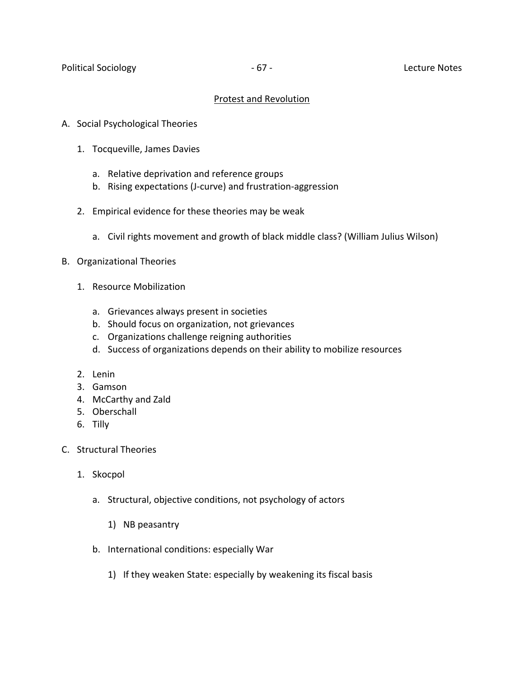## Protest and Revolution

- A. Social Psychological Theories
	- 1. Tocqueville, James Davies
		- a. Relative deprivation and reference groups
		- b. Rising expectations (J-curve) and frustration-aggression
	- 2. Empirical evidence for these theories may be weak
		- a. Civil rights movement and growth of black middle class? (William Julius Wilson)
- B. Organizational Theories
	- 1. Resource Mobilization
		- a. Grievances always present in societies
		- b. Should focus on organization, not grievances
		- c. Organizations challenge reigning authorities
		- d. Success of organizations depends on their ability to mobilize resources
	- 2. Lenin
	- 3. Gamson
	- 4. McCarthy and Zald
	- 5. Oberschall
	- 6. Tilly
- C. Structural Theories
	- 1. Skocpol
		- a. Structural, objective conditions, not psychology of actors
			- 1) NB peasantry
		- b. International conditions: especially War
			- 1) If they weaken State: especially by weakening its fiscal basis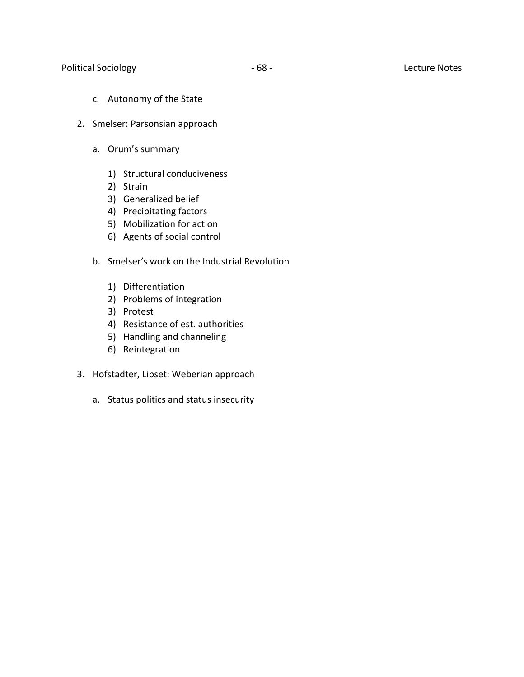Political Sociology **According to According the COVID-100** - 68 - Lecture Notes

- c. Autonomy of the State
- 2. Smelser: Parsonsian approach
	- a. Orum's summary
		- 1) Structural conduciveness
		- 2) Strain
		- 3) Generalized belief
		- 4) Precipitating factors
		- 5) Mobilization for action
		- 6) Agents of social control
	- b. Smelser's work on the Industrial Revolution
		- 1) Differentiation
		- 2) Problems of integration
		- 3) Protest
		- 4) Resistance of est. authorities
		- 5) Handling and channeling
		- 6) Reintegration
- 3. Hofstadter, Lipset: Weberian approach
	- a. Status politics and status insecurity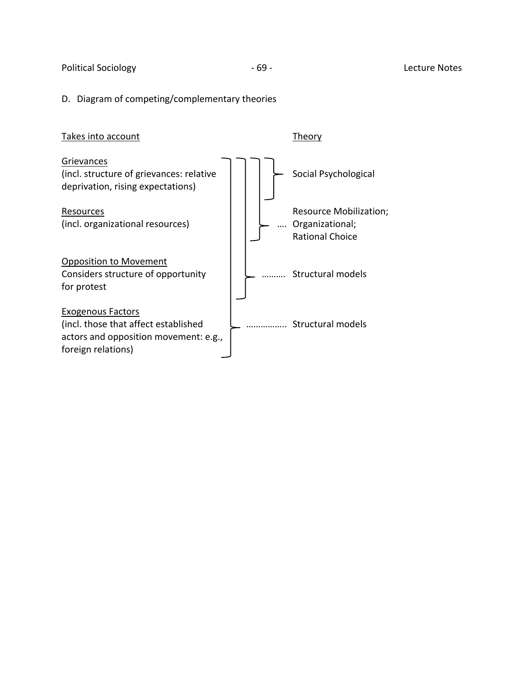Political Sociology **According to According the COVID-SOCIOL** COVID-69 - COVID-100 - 69 - Lecture Notes

# D. Diagram of competing/complementary theories

| Takes into account                                                            | Theorv                 |
|-------------------------------------------------------------------------------|------------------------|
| Grievances<br>(incl. structure of grievances: relative                        | Social Psychological   |
| deprivation, rising expectations)                                             |                        |
| Resources                                                                     | Resource Mobilization; |
| (incl. organizational resources)                                              | Organizational;        |
|                                                                               | <b>Rational Choice</b> |
| <b>Opposition to Movement</b>                                                 |                        |
| Considers structure of opportunity                                            | Structural models      |
| for protest                                                                   |                        |
| <b>Exogenous Factors</b>                                                      |                        |
| (incl. those that affect established<br>actors and opposition movement: e.g., | Structural models      |
| foreign relations)                                                            |                        |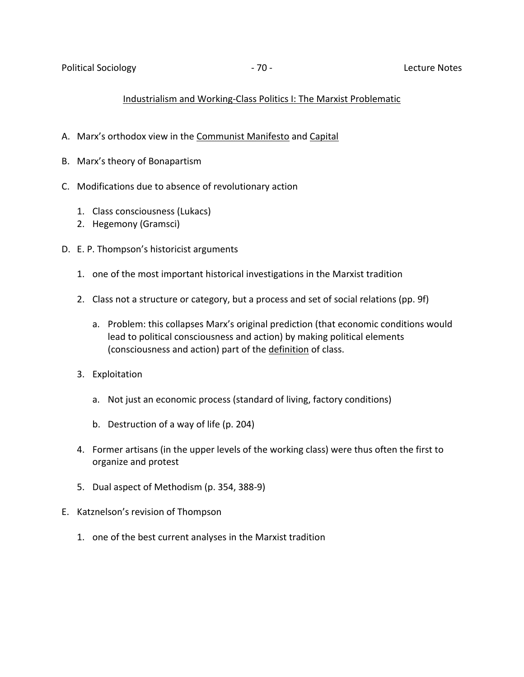## Industrialism and Working-Class Politics I: The Marxist Problematic

- A. Marx's orthodox view in the Communist Manifesto and Capital
- B. Marx's theory of Bonapartism
- C. Modifications due to absence of revolutionary action
	- 1. Class consciousness (Lukacs)
	- 2. Hegemony (Gramsci)
- D. E. P. Thompson's historicist arguments
	- 1. one of the most important historical investigations in the Marxist tradition
	- 2. Class not a structure or category, but a process and set of social relations (pp. 9f)
		- a. Problem: this collapses Marx's original prediction (that economic conditions would lead to political consciousness and action) by making political elements (consciousness and action) part of the definition of class.
	- 3. Exploitation
		- a. Not just an economic process (standard of living, factory conditions)
		- b. Destruction of a way of life (p. 204)
	- 4. Former artisans (in the upper levels of the working class) were thus often the first to organize and protest
	- 5. Dual aspect of Methodism (p. 354, 388-9)
- E. Katznelson's revision of Thompson
	- 1. one of the best current analyses in the Marxist tradition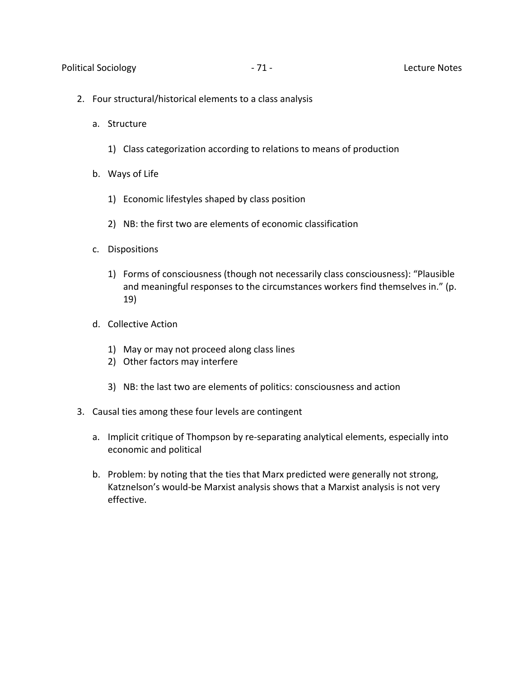- 2. Four structural/historical elements to a class analysis
	- a. Structure
		- 1) Class categorization according to relations to means of production
	- b. Ways of Life
		- 1) Economic lifestyles shaped by class position
		- 2) NB: the first two are elements of economic classification
	- c. Dispositions
		- 1) Forms of consciousness (though not necessarily class consciousness): "Plausible and meaningful responses to the circumstances workers find themselves in." (p. 19)
	- d. Collective Action
		- 1) May or may not proceed along class lines
		- 2) Other factors may interfere
		- 3) NB: the last two are elements of politics: consciousness and action
- 3. Causal ties among these four levels are contingent
	- a. Implicit critique of Thompson by re-separating analytical elements, especially into economic and political
	- b. Problem: by noting that the ties that Marx predicted were generally not strong, Katznelson's would-be Marxist analysis shows that a Marxist analysis is not very effective.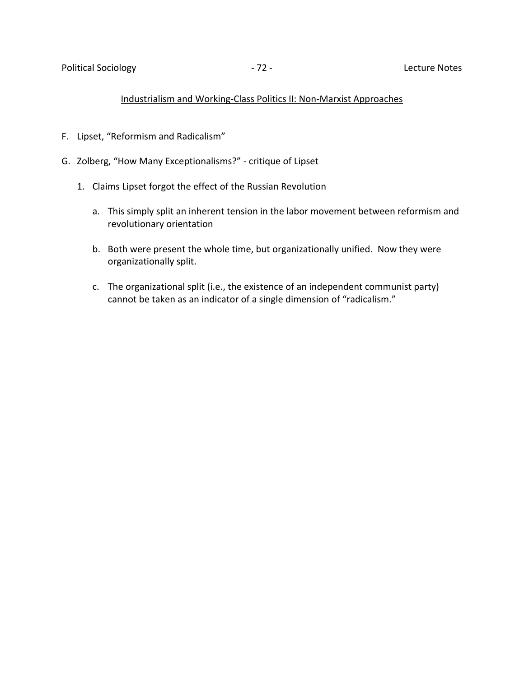#### Industrialism and Working-Class Politics II: Non-Marxist Approaches

- F. Lipset, "Reformism and Radicalism"
- G. Zolberg, "How Many Exceptionalisms?" critique of Lipset
	- 1. Claims Lipset forgot the effect of the Russian Revolution
		- a. This simply split an inherent tension in the labor movement between reformism and revolutionary orientation
		- b. Both were present the whole time, but organizationally unified. Now they were organizationally split.
		- c. The organizational split (i.e., the existence of an independent communist party) cannot be taken as an indicator of a single dimension of "radicalism."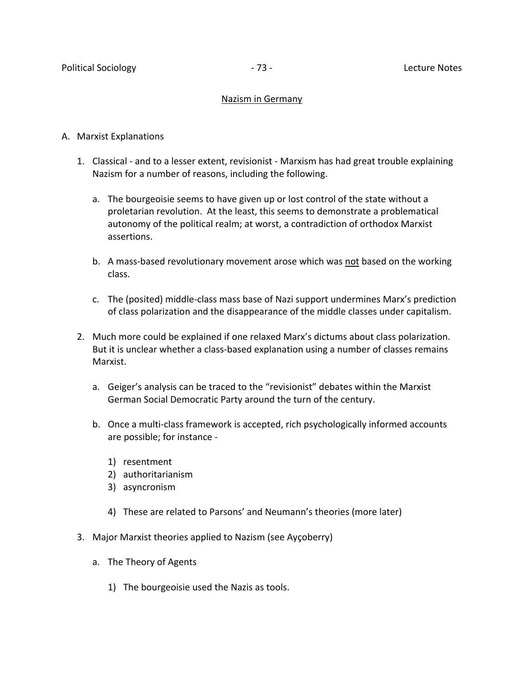## Nazism in Germany

## A. Marxist Explanations

- 1. Classical and to a lesser extent, revisionist Marxism has had great trouble explaining Nazism for a number of reasons, including the following.
	- a. The bourgeoisie seems to have given up or lost control of the state without a proletarian revolution. At the least, this seems to demonstrate a problematical autonomy of the political realm; at worst, a contradiction of orthodox Marxist assertions.
	- b. A mass-based revolutionary movement arose which was not based on the working class.
	- c. The (posited) middle-class mass base of Nazi support undermines Marx's prediction of class polarization and the disappearance of the middle classes under capitalism.
- 2. Much more could be explained if one relaxed Marx's dictums about class polarization. But it is unclear whether a class-based explanation using a number of classes remains Marxist.
	- a. Geiger's analysis can be traced to the "revisionist" debates within the Marxist German Social Democratic Party around the turn of the century.
	- b. Once a multi-class framework is accepted, rich psychologically informed accounts are possible; for instance -
		- 1) resentment
		- 2) authoritarianism
		- 3) asyncronism
		- 4) These are related to Parsons' and Neumann's theories (more later)
- 3. Major Marxist theories applied to Nazism (see Ayçoberry)
	- a. The Theory of Agents
		- 1) The bourgeoisie used the Nazis as tools.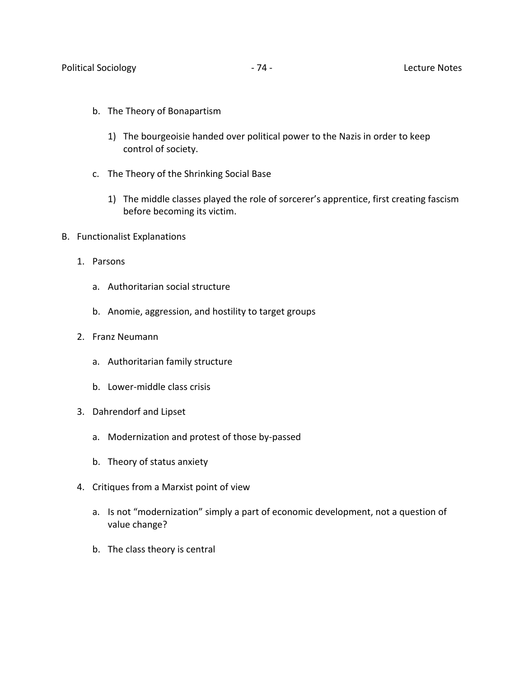- b. The Theory of Bonapartism
	- 1) The bourgeoisie handed over political power to the Nazis in order to keep control of society.
- c. The Theory of the Shrinking Social Base
	- 1) The middle classes played the role of sorcerer's apprentice, first creating fascism before becoming its victim.
- B. Functionalist Explanations
	- 1. Parsons
		- a. Authoritarian social structure
		- b. Anomie, aggression, and hostility to target groups
	- 2. Franz Neumann
		- a. Authoritarian family structure
		- b. Lower-middle class crisis
	- 3. Dahrendorf and Lipset
		- a. Modernization and protest of those by-passed
		- b. Theory of status anxiety
	- 4. Critiques from a Marxist point of view
		- a. Is not "modernization" simply a part of economic development, not a question of value change?
		- b. The class theory is central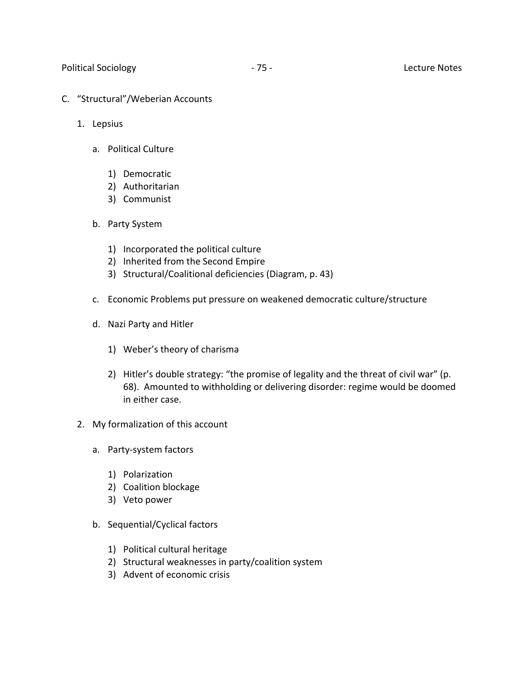- C. "Structural"/Weberian Accounts
	- 1. Lepsius
		- a. Political Culture
			- 1) Democratic
			- 2) Authoritarian
			- 3) Communist
		- b. Party System
			- 1) Incorporated the political culture
			- 2) Inherited from the Second Empire
			- 3) Structural/Coalitional deficiencies (Diagram, p. 43)
		- c. Economic Problems put pressure on weakened democratic culture/structure
		- d. Nazi Party and Hitler
			- 1) Weber's theory of charisma
			- 2) Hitler's double strategy: "the promise of legality and the threat of civil war" (p. 68). Amounted to withholding or delivering disorder: regime would be doomed in either case.
	- 2. My formalization of this account
		- a. Party-system factors
			- 1) Polarization
			- 2) Coalition blockage
			- 3) Veto power
		- b. Sequential/Cyclical factors
			- 1) Political cultural heritage
			- 2) Structural weaknesses in party/coalition system
			- 3) Advent of economic crisis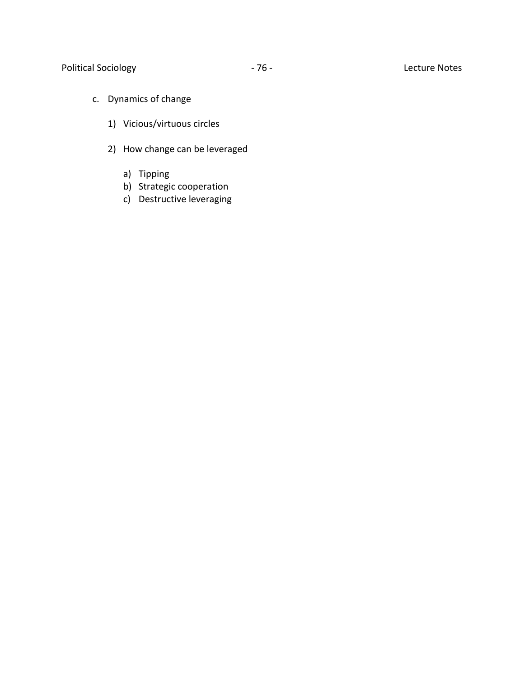- c. Dynamics of change
	- 1) Vicious/virtuous circles
	- 2) How change can be leveraged
		- a) Tipping
		- b) Strategic cooperation
		- c) Destructive leveraging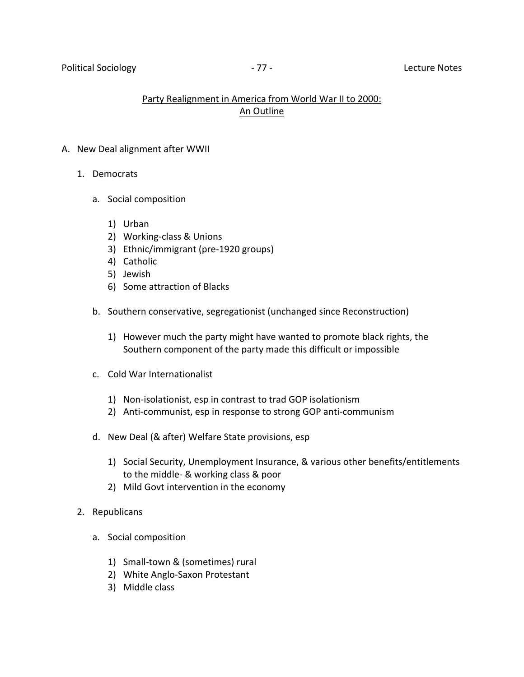## Party Realignment in America from World War II to 2000: An Outline

## A. New Deal alignment after WWII

- 1. Democrats
	- a. Social composition
		- 1) Urban
		- 2) Working-class & Unions
		- 3) Ethnic/immigrant (pre-1920 groups)
		- 4) Catholic
		- 5) Jewish
		- 6) Some attraction of Blacks
	- b. Southern conservative, segregationist (unchanged since Reconstruction)
		- 1) However much the party might have wanted to promote black rights, the Southern component of the party made this difficult or impossible
	- c. Cold War Internationalist
		- 1) Non-isolationist, esp in contrast to trad GOP isolationism
		- 2) Anti-communist, esp in response to strong GOP anti-communism
	- d. New Deal (& after) Welfare State provisions, esp
		- 1) Social Security, Unemployment Insurance, & various other benefits/entitlements to the middle- & working class & poor
		- 2) Mild Govt intervention in the economy
- 2. Republicans
	- a. Social composition
		- 1) Small-town & (sometimes) rural
		- 2) White Anglo-Saxon Protestant
		- 3) Middle class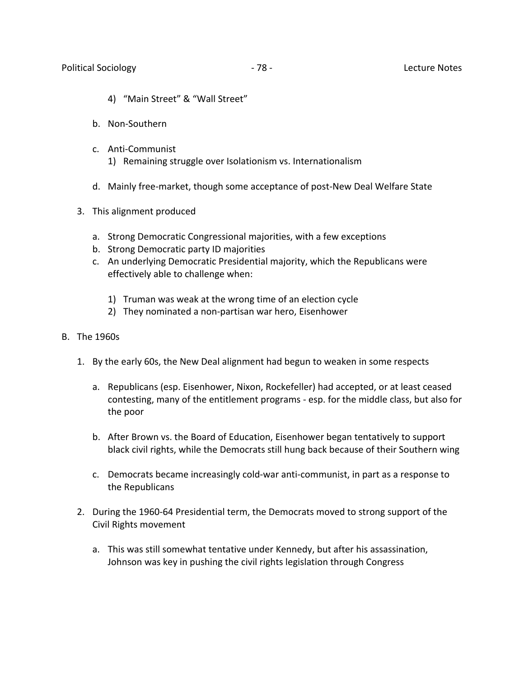- 4) "Main Street" & "Wall Street"
- b. Non-Southern
- c. Anti-Communist
	- 1) Remaining struggle over Isolationism vs. Internationalism
- d. Mainly free-market, though some acceptance of post-New Deal Welfare State
- 3. This alignment produced
	- a. Strong Democratic Congressional majorities, with a few exceptions
	- b. Strong Democratic party ID majorities
	- c. An underlying Democratic Presidential majority, which the Republicans were effectively able to challenge when:
		- 1) Truman was weak at the wrong time of an election cycle
		- 2) They nominated a non-partisan war hero, Eisenhower
- B. The 1960s
	- 1. By the early 60s, the New Deal alignment had begun to weaken in some respects
		- a. Republicans (esp. Eisenhower, Nixon, Rockefeller) had accepted, or at least ceased contesting, many of the entitlement programs - esp. for the middle class, but also for the poor
		- b. After Brown vs. the Board of Education, Eisenhower began tentatively to support black civil rights, while the Democrats still hung back because of their Southern wing
		- c. Democrats became increasingly cold-war anti-communist, in part as a response to the Republicans
	- 2. During the 1960-64 Presidential term, the Democrats moved to strong support of the Civil Rights movement
		- a. This was still somewhat tentative under Kennedy, but after his assassination, Johnson was key in pushing the civil rights legislation through Congress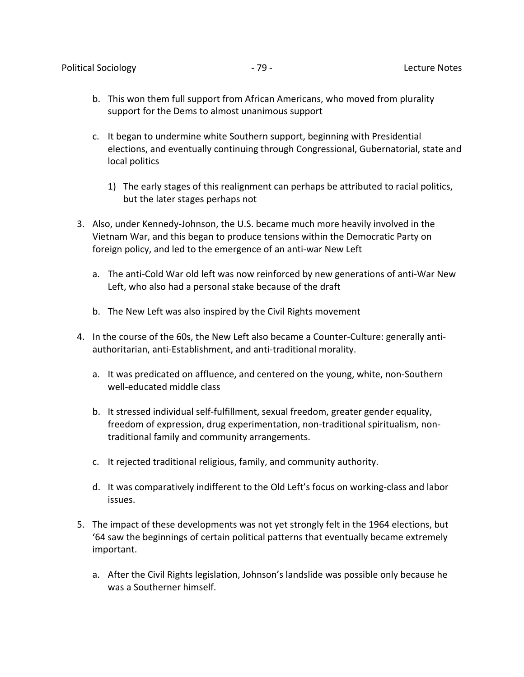- b. This won them full support from African Americans, who moved from plurality support for the Dems to almost unanimous support
- c. It began to undermine white Southern support, beginning with Presidential elections, and eventually continuing through Congressional, Gubernatorial, state and local politics
	- 1) The early stages of this realignment can perhaps be attributed to racial politics, but the later stages perhaps not
- 3. Also, under Kennedy-Johnson, the U.S. became much more heavily involved in the Vietnam War, and this began to produce tensions within the Democratic Party on foreign policy, and led to the emergence of an anti-war New Left
	- a. The anti-Cold War old left was now reinforced by new generations of anti-War New Left, who also had a personal stake because of the draft
	- b. The New Left was also inspired by the Civil Rights movement
- 4. In the course of the 60s, the New Left also became a Counter-Culture: generally antiauthoritarian, anti-Establishment, and anti-traditional morality.
	- a. It was predicated on affluence, and centered on the young, white, non-Southern well-educated middle class
	- b. It stressed individual self-fulfillment, sexual freedom, greater gender equality, freedom of expression, drug experimentation, non-traditional spiritualism, nontraditional family and community arrangements.
	- c. It rejected traditional religious, family, and community authority.
	- d. It was comparatively indifferent to the Old Left's focus on working-class and labor issues.
- 5. The impact of these developments was not yet strongly felt in the 1964 elections, but '64 saw the beginnings of certain political patterns that eventually became extremely important.
	- a. After the Civil Rights legislation, Johnson's landslide was possible only because he was a Southerner himself.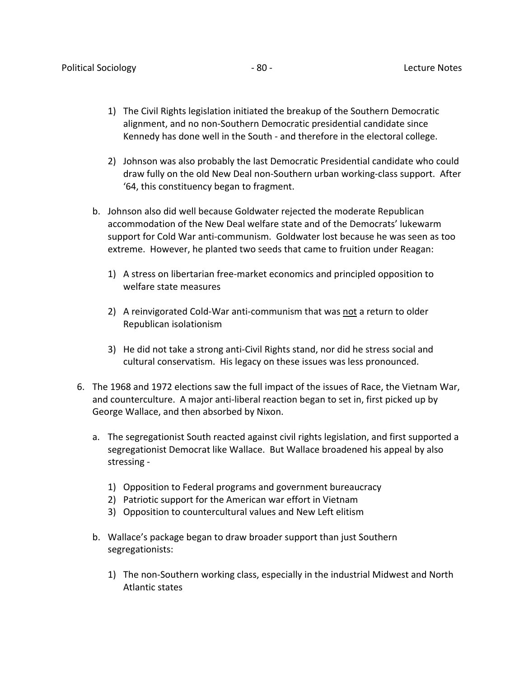- 1) The Civil Rights legislation initiated the breakup of the Southern Democratic alignment, and no non-Southern Democratic presidential candidate since Kennedy has done well in the South - and therefore in the electoral college.
- 2) Johnson was also probably the last Democratic Presidential candidate who could draw fully on the old New Deal non-Southern urban working-class support. After '64, this constituency began to fragment.
- b. Johnson also did well because Goldwater rejected the moderate Republican accommodation of the New Deal welfare state and of the Democrats' lukewarm support for Cold War anti-communism. Goldwater lost because he was seen as too extreme. However, he planted two seeds that came to fruition under Reagan:
	- 1) A stress on libertarian free-market economics and principled opposition to welfare state measures
	- 2) A reinvigorated Cold-War anti-communism that was not a return to older Republican isolationism
	- 3) He did not take a strong anti-Civil Rights stand, nor did he stress social and cultural conservatism. His legacy on these issues was less pronounced.
- 6. The 1968 and 1972 elections saw the full impact of the issues of Race, the Vietnam War, and counterculture. A major anti-liberal reaction began to set in, first picked up by George Wallace, and then absorbed by Nixon.
	- a. The segregationist South reacted against civil rights legislation, and first supported a segregationist Democrat like Wallace. But Wallace broadened his appeal by also stressing -
		- 1) Opposition to Federal programs and government bureaucracy
		- 2) Patriotic support for the American war effort in Vietnam
		- 3) Opposition to countercultural values and New Left elitism
	- b. Wallace's package began to draw broader support than just Southern segregationists:
		- 1) The non-Southern working class, especially in the industrial Midwest and North Atlantic states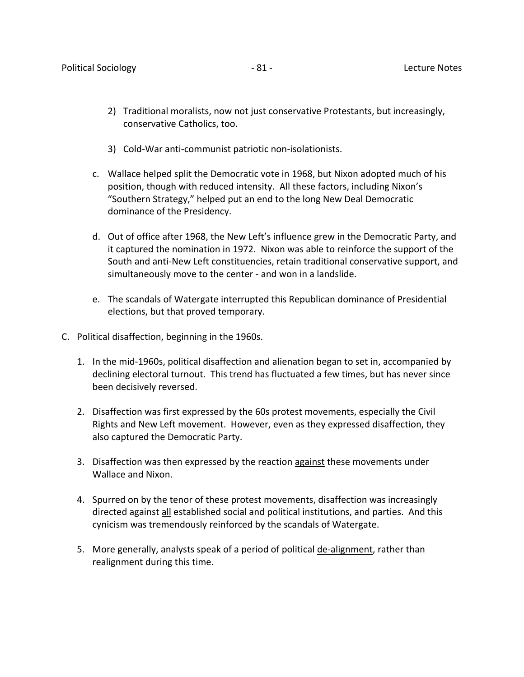- 2) Traditional moralists, now not just conservative Protestants, but increasingly, conservative Catholics, too.
- 3) Cold-War anti-communist patriotic non-isolationists.
- c. Wallace helped split the Democratic vote in 1968, but Nixon adopted much of his position, though with reduced intensity. All these factors, including Nixon's "Southern Strategy," helped put an end to the long New Deal Democratic dominance of the Presidency.
- d. Out of office after 1968, the New Left's influence grew in the Democratic Party, and it captured the nomination in 1972. Nixon was able to reinforce the support of the South and anti-New Left constituencies, retain traditional conservative support, and simultaneously move to the center - and won in a landslide.
- e. The scandals of Watergate interrupted this Republican dominance of Presidential elections, but that proved temporary.
- C. Political disaffection, beginning in the 1960s.
	- 1. In the mid-1960s, political disaffection and alienation began to set in, accompanied by declining electoral turnout. This trend has fluctuated a few times, but has never since been decisively reversed.
	- 2. Disaffection was first expressed by the 60s protest movements, especially the Civil Rights and New Left movement. However, even as they expressed disaffection, they also captured the Democratic Party.
	- 3. Disaffection was then expressed by the reaction against these movements under Wallace and Nixon.
	- 4. Spurred on by the tenor of these protest movements, disaffection was increasingly directed against all established social and political institutions, and parties. And this cynicism was tremendously reinforced by the scandals of Watergate.
	- 5. More generally, analysts speak of a period of political de-alignment, rather than realignment during this time.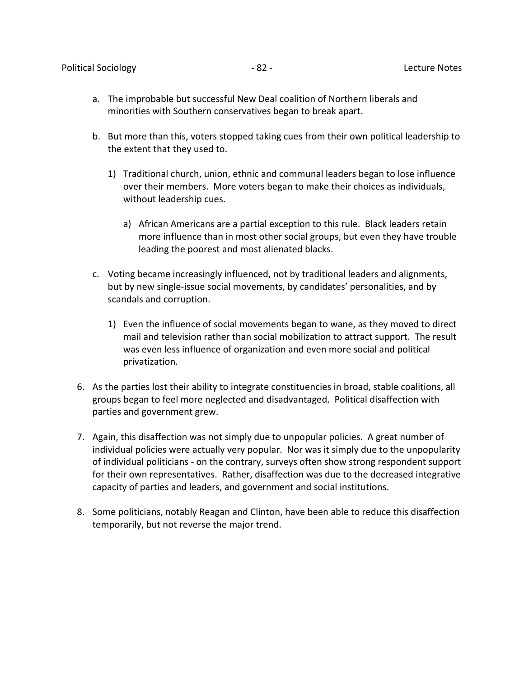- a. The improbable but successful New Deal coalition of Northern liberals and minorities with Southern conservatives began to break apart.
- b. But more than this, voters stopped taking cues from their own political leadership to the extent that they used to.
	- 1) Traditional church, union, ethnic and communal leaders began to lose influence over their members. More voters began to make their choices as individuals, without leadership cues.
		- a) African Americans are a partial exception to this rule. Black leaders retain more influence than in most other social groups, but even they have trouble leading the poorest and most alienated blacks.
- c. Voting became increasingly influenced, not by traditional leaders and alignments, but by new single-issue social movements, by candidates' personalities, and by scandals and corruption.
	- 1) Even the influence of social movements began to wane, as they moved to direct mail and television rather than social mobilization to attract support. The result was even less influence of organization and even more social and political privatization.
- 6. As the parties lost their ability to integrate constituencies in broad, stable coalitions, all groups began to feel more neglected and disadvantaged. Political disaffection with parties and government grew.
- 7. Again, this disaffection was not simply due to unpopular policies. A great number of individual policies were actually very popular. Nor was it simply due to the unpopularity of individual politicians - on the contrary, surveys often show strong respondent support for their own representatives. Rather, disaffection was due to the decreased integrative capacity of parties and leaders, and government and social institutions.
- 8. Some politicians, notably Reagan and Clinton, have been able to reduce this disaffection temporarily, but not reverse the major trend.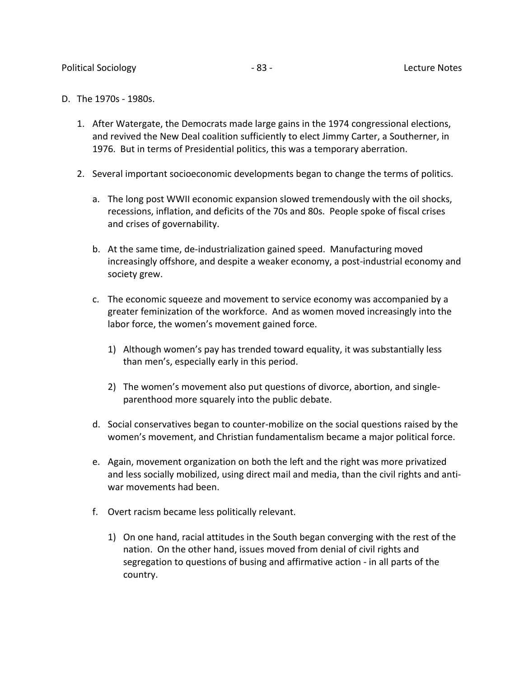- D. The 1970s 1980s.
	- 1. After Watergate, the Democrats made large gains in the 1974 congressional elections, and revived the New Deal coalition sufficiently to elect Jimmy Carter, a Southerner, in 1976. But in terms of Presidential politics, this was a temporary aberration.
	- 2. Several important socioeconomic developments began to change the terms of politics.
		- a. The long post WWII economic expansion slowed tremendously with the oil shocks, recessions, inflation, and deficits of the 70s and 80s. People spoke of fiscal crises and crises of governability.
		- b. At the same time, de-industrialization gained speed. Manufacturing moved increasingly offshore, and despite a weaker economy, a post-industrial economy and society grew.
		- c. The economic squeeze and movement to service economy was accompanied by a greater feminization of the workforce. And as women moved increasingly into the labor force, the women's movement gained force.
			- 1) Although women's pay has trended toward equality, it was substantially less than men's, especially early in this period.
			- 2) The women's movement also put questions of divorce, abortion, and singleparenthood more squarely into the public debate.
		- d. Social conservatives began to counter-mobilize on the social questions raised by the women's movement, and Christian fundamentalism became a major political force.
		- e. Again, movement organization on both the left and the right was more privatized and less socially mobilized, using direct mail and media, than the civil rights and antiwar movements had been.
		- f. Overt racism became less politically relevant.
			- 1) On one hand, racial attitudes in the South began converging with the rest of the nation. On the other hand, issues moved from denial of civil rights and segregation to questions of busing and affirmative action - in all parts of the country.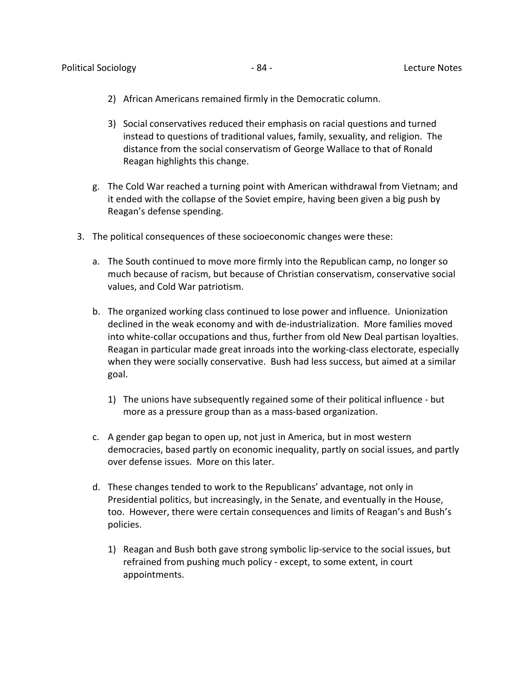- 2) African Americans remained firmly in the Democratic column.
- 3) Social conservatives reduced their emphasis on racial questions and turned instead to questions of traditional values, family, sexuality, and religion. The distance from the social conservatism of George Wallace to that of Ronald Reagan highlights this change.
- g. The Cold War reached a turning point with American withdrawal from Vietnam; and it ended with the collapse of the Soviet empire, having been given a big push by Reagan's defense spending.
- 3. The political consequences of these socioeconomic changes were these:
	- a. The South continued to move more firmly into the Republican camp, no longer so much because of racism, but because of Christian conservatism, conservative social values, and Cold War patriotism.
	- b. The organized working class continued to lose power and influence. Unionization declined in the weak economy and with de-industrialization. More families moved into white-collar occupations and thus, further from old New Deal partisan loyalties. Reagan in particular made great inroads into the working-class electorate, especially when they were socially conservative. Bush had less success, but aimed at a similar goal.
		- 1) The unions have subsequently regained some of their political influence but more as a pressure group than as a mass-based organization.
	- c. A gender gap began to open up, not just in America, but in most western democracies, based partly on economic inequality, partly on social issues, and partly over defense issues. More on this later.
	- d. These changes tended to work to the Republicans' advantage, not only in Presidential politics, but increasingly, in the Senate, and eventually in the House, too. However, there were certain consequences and limits of Reagan's and Bush's policies.
		- 1) Reagan and Bush both gave strong symbolic lip-service to the social issues, but refrained from pushing much policy - except, to some extent, in court appointments.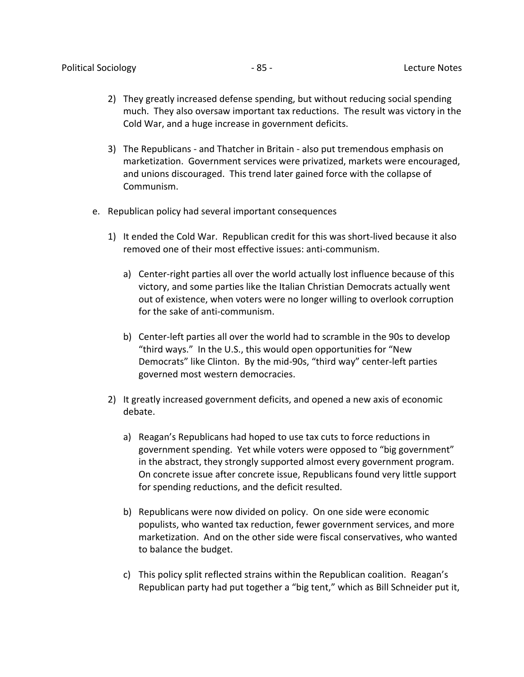- 2) They greatly increased defense spending, but without reducing social spending much. They also oversaw important tax reductions. The result was victory in the Cold War, and a huge increase in government deficits.
- 3) The Republicans and Thatcher in Britain also put tremendous emphasis on marketization. Government services were privatized, markets were encouraged, and unions discouraged. This trend later gained force with the collapse of Communism.
- e. Republican policy had several important consequences
	- 1) It ended the Cold War. Republican credit for this was short-lived because it also removed one of their most effective issues: anti-communism.
		- a) Center-right parties all over the world actually lost influence because of this victory, and some parties like the Italian Christian Democrats actually went out of existence, when voters were no longer willing to overlook corruption for the sake of anti-communism.
		- b) Center-left parties all over the world had to scramble in the 90s to develop "third ways." In the U.S., this would open opportunities for "New Democrats" like Clinton. By the mid-90s, "third way" center-left parties governed most western democracies.
	- 2) It greatly increased government deficits, and opened a new axis of economic debate.
		- a) Reagan's Republicans had hoped to use tax cuts to force reductions in government spending. Yet while voters were opposed to "big government" in the abstract, they strongly supported almost every government program. On concrete issue after concrete issue, Republicans found very little support for spending reductions, and the deficit resulted.
		- b) Republicans were now divided on policy. On one side were economic populists, who wanted tax reduction, fewer government services, and more marketization. And on the other side were fiscal conservatives, who wanted to balance the budget.
		- c) This policy split reflected strains within the Republican coalition. Reagan's Republican party had put together a "big tent," which as Bill Schneider put it,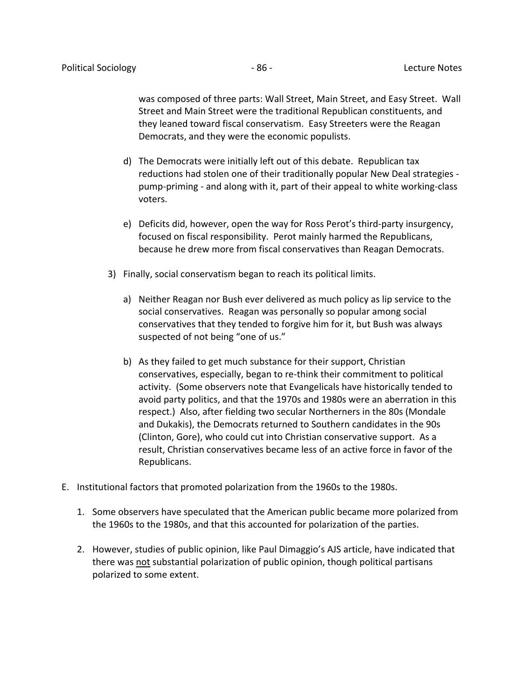was composed of three parts: Wall Street, Main Street, and Easy Street. Wall Street and Main Street were the traditional Republican constituents, and they leaned toward fiscal conservatism. Easy Streeters were the Reagan Democrats, and they were the economic populists.

- d) The Democrats were initially left out of this debate. Republican tax reductions had stolen one of their traditionally popular New Deal strategies pump-priming - and along with it, part of their appeal to white working-class voters.
- e) Deficits did, however, open the way for Ross Perot's third-party insurgency, focused on fiscal responsibility. Perot mainly harmed the Republicans, because he drew more from fiscal conservatives than Reagan Democrats.
- 3) Finally, social conservatism began to reach its political limits.
	- a) Neither Reagan nor Bush ever delivered as much policy as lip service to the social conservatives. Reagan was personally so popular among social conservatives that they tended to forgive him for it, but Bush was always suspected of not being "one of us."
	- b) As they failed to get much substance for their support, Christian conservatives, especially, began to re-think their commitment to political activity. (Some observers note that Evangelicals have historically tended to avoid party politics, and that the 1970s and 1980s were an aberration in this respect.) Also, after fielding two secular Northerners in the 80s (Mondale and Dukakis), the Democrats returned to Southern candidates in the 90s (Clinton, Gore), who could cut into Christian conservative support. As a result, Christian conservatives became less of an active force in favor of the Republicans.
- E. Institutional factors that promoted polarization from the 1960s to the 1980s.
	- 1. Some observers have speculated that the American public became more polarized from the 1960s to the 1980s, and that this accounted for polarization of the parties.
	- 2. However, studies of public opinion, like Paul Dimaggio's AJS article, have indicated that there was not substantial polarization of public opinion, though political partisans polarized to some extent.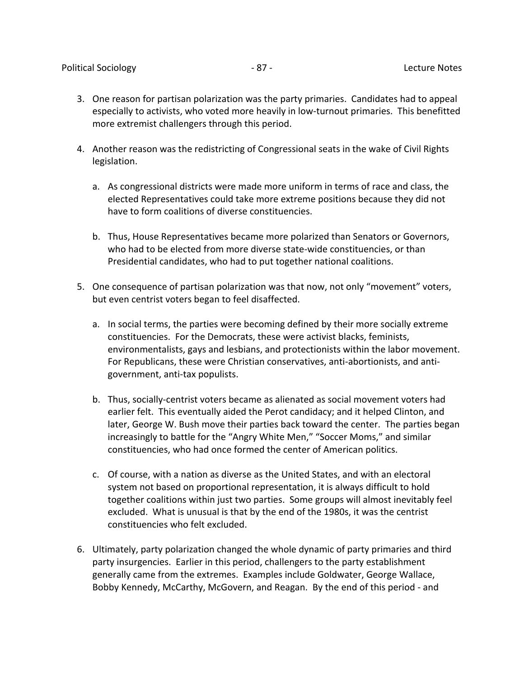- 3. One reason for partisan polarization was the party primaries. Candidates had to appeal especially to activists, who voted more heavily in low-turnout primaries. This benefitted more extremist challengers through this period.
- 4. Another reason was the redistricting of Congressional seats in the wake of Civil Rights legislation.
	- a. As congressional districts were made more uniform in terms of race and class, the elected Representatives could take more extreme positions because they did not have to form coalitions of diverse constituencies.
	- b. Thus, House Representatives became more polarized than Senators or Governors, who had to be elected from more diverse state-wide constituencies, or than Presidential candidates, who had to put together national coalitions.
- 5. One consequence of partisan polarization was that now, not only "movement" voters, but even centrist voters began to feel disaffected.
	- a. In social terms, the parties were becoming defined by their more socially extreme constituencies. For the Democrats, these were activist blacks, feminists, environmentalists, gays and lesbians, and protectionists within the labor movement. For Republicans, these were Christian conservatives, anti-abortionists, and antigovernment, anti-tax populists.
	- b. Thus, socially-centrist voters became as alienated as social movement voters had earlier felt. This eventually aided the Perot candidacy; and it helped Clinton, and later, George W. Bush move their parties back toward the center. The parties began increasingly to battle for the "Angry White Men," "Soccer Moms," and similar constituencies, who had once formed the center of American politics.
	- c. Of course, with a nation as diverse as the United States, and with an electoral system not based on proportional representation, it is always difficult to hold together coalitions within just two parties. Some groups will almost inevitably feel excluded. What is unusual is that by the end of the 1980s, it was the centrist constituencies who felt excluded.
- 6. Ultimately, party polarization changed the whole dynamic of party primaries and third party insurgencies. Earlier in this period, challengers to the party establishment generally came from the extremes. Examples include Goldwater, George Wallace, Bobby Kennedy, McCarthy, McGovern, and Reagan. By the end of this period - and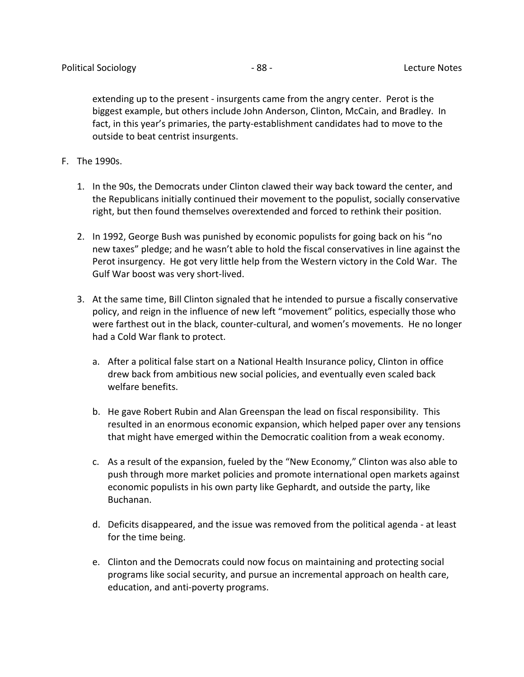extending up to the present - insurgents came from the angry center. Perot is the biggest example, but others include John Anderson, Clinton, McCain, and Bradley. In fact, in this year's primaries, the party-establishment candidates had to move to the outside to beat centrist insurgents.

- F. The 1990s.
	- 1. In the 90s, the Democrats under Clinton clawed their way back toward the center, and the Republicans initially continued their movement to the populist, socially conservative right, but then found themselves overextended and forced to rethink their position.
	- 2. In 1992, George Bush was punished by economic populists for going back on his "no new taxes" pledge; and he wasn't able to hold the fiscal conservatives in line against the Perot insurgency. He got very little help from the Western victory in the Cold War. The Gulf War boost was very short-lived.
	- 3. At the same time, Bill Clinton signaled that he intended to pursue a fiscally conservative policy, and reign in the influence of new left "movement" politics, especially those who were farthest out in the black, counter-cultural, and women's movements. He no longer had a Cold War flank to protect.
		- a. After a political false start on a National Health Insurance policy, Clinton in office drew back from ambitious new social policies, and eventually even scaled back welfare benefits.
		- b. He gave Robert Rubin and Alan Greenspan the lead on fiscal responsibility. This resulted in an enormous economic expansion, which helped paper over any tensions that might have emerged within the Democratic coalition from a weak economy.
		- c. As a result of the expansion, fueled by the "New Economy," Clinton was also able to push through more market policies and promote international open markets against economic populists in his own party like Gephardt, and outside the party, like Buchanan.
		- d. Deficits disappeared, and the issue was removed from the political agenda at least for the time being.
		- e. Clinton and the Democrats could now focus on maintaining and protecting social programs like social security, and pursue an incremental approach on health care, education, and anti-poverty programs.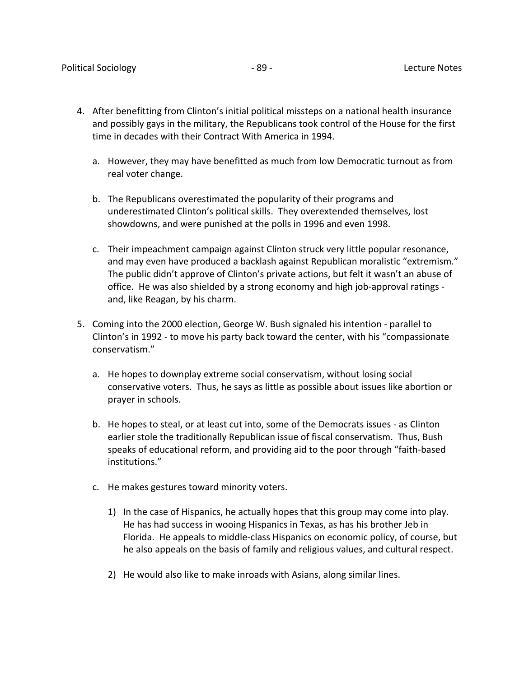- 4. After benefitting from Clinton's initial political missteps on a national health insurance and possibly gays in the military, the Republicans took control of the House for the first time in decades with their Contract With America in 1994.
	- a. However, they may have benefitted as much from low Democratic turnout as from real voter change.
	- b. The Republicans overestimated the popularity of their programs and underestimated Clinton's political skills. They overextended themselves, lost showdowns, and were punished at the polls in 1996 and even 1998.
	- c. Their impeachment campaign against Clinton struck very little popular resonance, and may even have produced a backlash against Republican moralistic "extremism." The public didn't approve of Clinton's private actions, but felt it wasn't an abuse of office. He was also shielded by a strong economy and high job-approval ratings and, like Reagan, by his charm.
- 5. Coming into the 2000 election, George W. Bush signaled his intention parallel to Clinton's in 1992 - to move his party back toward the center, with his "compassionate conservatism."
	- a. He hopes to downplay extreme social conservatism, without losing social conservative voters. Thus, he says as little as possible about issues like abortion or prayer in schools.
	- b. He hopes to steal, or at least cut into, some of the Democrats issues as Clinton earlier stole the traditionally Republican issue of fiscal conservatism. Thus, Bush speaks of educational reform, and providing aid to the poor through "faith-based institutions."
	- c. He makes gestures toward minority voters.
		- 1) In the case of Hispanics, he actually hopes that this group may come into play. He has had success in wooing Hispanics in Texas, as has his brother Jeb in Florida. He appeals to middle-class Hispanics on economic policy, of course, but he also appeals on the basis of family and religious values, and cultural respect.
		- 2) He would also like to make inroads with Asians, along similar lines.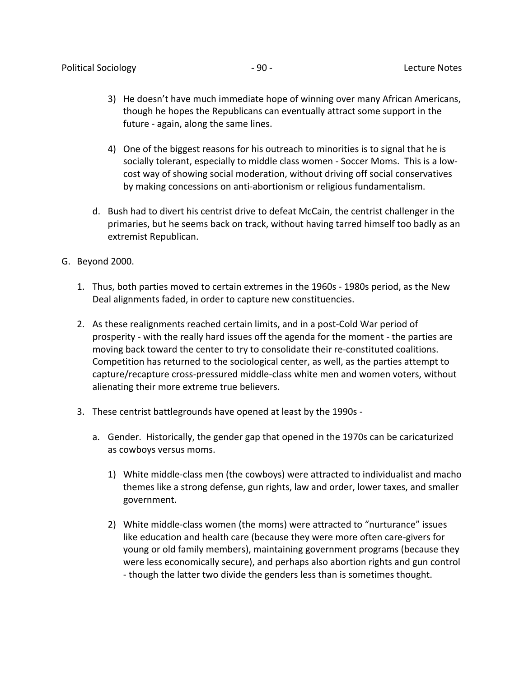- 3) He doesn't have much immediate hope of winning over many African Americans, though he hopes the Republicans can eventually attract some support in the future - again, along the same lines.
- 4) One of the biggest reasons for his outreach to minorities is to signal that he is socially tolerant, especially to middle class women - Soccer Moms. This is a lowcost way of showing social moderation, without driving off social conservatives by making concessions on anti-abortionism or religious fundamentalism.
- d. Bush had to divert his centrist drive to defeat McCain, the centrist challenger in the primaries, but he seems back on track, without having tarred himself too badly as an extremist Republican.
- G. Beyond 2000.
	- 1. Thus, both parties moved to certain extremes in the 1960s 1980s period, as the New Deal alignments faded, in order to capture new constituencies.
	- 2. As these realignments reached certain limits, and in a post-Cold War period of prosperity - with the really hard issues off the agenda for the moment - the parties are moving back toward the center to try to consolidate their re-constituted coalitions. Competition has returned to the sociological center, as well, as the parties attempt to capture/recapture cross-pressured middle-class white men and women voters, without alienating their more extreme true believers.
	- 3. These centrist battlegrounds have opened at least by the 1990s
		- a. Gender. Historically, the gender gap that opened in the 1970s can be caricaturized as cowboys versus moms.
			- 1) White middle-class men (the cowboys) were attracted to individualist and macho themes like a strong defense, gun rights, law and order, lower taxes, and smaller government.
			- 2) White middle-class women (the moms) were attracted to "nurturance" issues like education and health care (because they were more often care-givers for young or old family members), maintaining government programs (because they were less economically secure), and perhaps also abortion rights and gun control - though the latter two divide the genders less than is sometimes thought.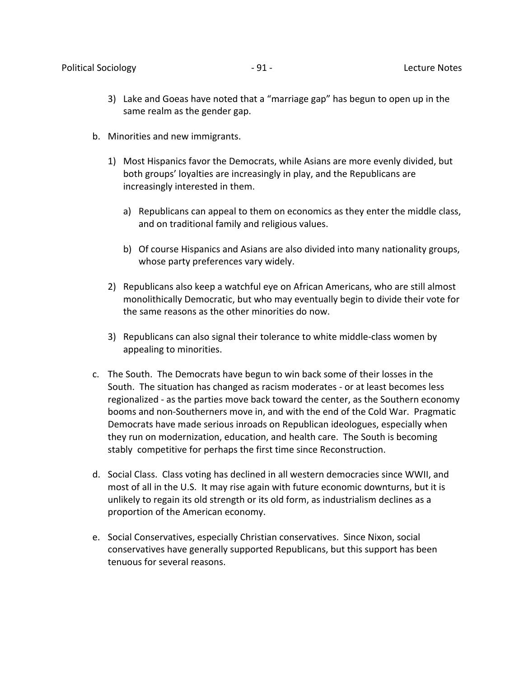- 3) Lake and Goeas have noted that a "marriage gap" has begun to open up in the same realm as the gender gap.
- b. Minorities and new immigrants.
	- 1) Most Hispanics favor the Democrats, while Asians are more evenly divided, but both groups' loyalties are increasingly in play, and the Republicans are increasingly interested in them.
		- a) Republicans can appeal to them on economics as they enter the middle class, and on traditional family and religious values.
		- b) Of course Hispanics and Asians are also divided into many nationality groups, whose party preferences vary widely.
	- 2) Republicans also keep a watchful eye on African Americans, who are still almost monolithically Democratic, but who may eventually begin to divide their vote for the same reasons as the other minorities do now.
	- 3) Republicans can also signal their tolerance to white middle-class women by appealing to minorities.
- c. The South. The Democrats have begun to win back some of their losses in the South. The situation has changed as racism moderates - or at least becomes less regionalized - as the parties move back toward the center, as the Southern economy booms and non-Southerners move in, and with the end of the Cold War. Pragmatic Democrats have made serious inroads on Republican ideologues, especially when they run on modernization, education, and health care. The South is becoming stably competitive for perhaps the first time since Reconstruction.
- d. Social Class. Class voting has declined in all western democracies since WWII, and most of all in the U.S. It may rise again with future economic downturns, but it is unlikely to regain its old strength or its old form, as industrialism declines as a proportion of the American economy.
- e. Social Conservatives, especially Christian conservatives. Since Nixon, social conservatives have generally supported Republicans, but this support has been tenuous for several reasons.